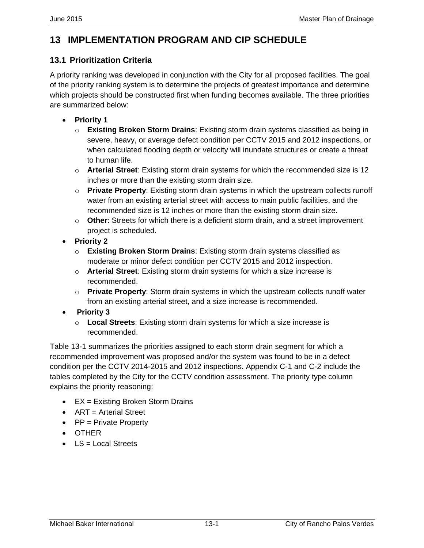## **13 IMPLEMENTATION PROGRAM AND CIP SCHEDULE**

## **13.1 Prioritization Criteria**

A priority ranking was developed in conjunction with the City for all proposed facilities. The goal of the priority ranking system is to determine the projects of greatest importance and determine which projects should be constructed first when funding becomes available. The three priorities are summarized below:

- **Priority 1**
	- o **Existing Broken Storm Drains**: Existing storm drain systems classified as being in severe, heavy, or average defect condition per CCTV 2015 and 2012 inspections, or when calculated flooding depth or velocity will inundate structures or create a threat to human life.
	- o **Arterial Street**: Existing storm drain systems for which the recommended size is 12 inches or more than the existing storm drain size.
	- o **Private Property**: Existing storm drain systems in which the upstream collects runoff water from an existing arterial street with access to main public facilities, and the recommended size is 12 inches or more than the existing storm drain size.
	- o **Other**: Streets for which there is a deficient storm drain, and a street improvement project is scheduled.
- **Priority 2**
	- o **Existing Broken Storm Drains**: Existing storm drain systems classified as moderate or minor defect condition per CCTV 2015 and 2012 inspection.
	- o **Arterial Street**: Existing storm drain systems for which a size increase is recommended.
	- o **Private Property**: Storm drain systems in which the upstream collects runoff water from an existing arterial street, and a size increase is recommended.
- **Priority 3**
	- o **Local Streets**: Existing storm drain systems for which a size increase is recommended.

Table 13-1 summarizes the priorities assigned to each storm drain segment for which a recommended improvement was proposed and/or the system was found to be in a defect condition per the CCTV 2014-2015 and 2012 inspections. Appendix C-1 and C-2 include the tables completed by the City for the CCTV condition assessment. The priority type column explains the priority reasoning:

- $\bullet$  EX = Existing Broken Storm Drains
- ART = Arterial Street
- $\bullet$  PP = Private Property
- OTHER
- $\bullet$  LS = Local Streets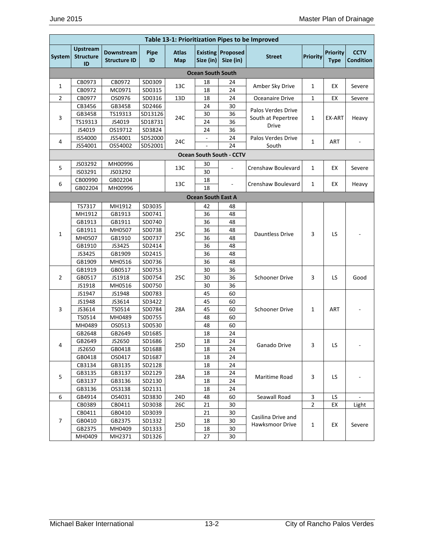|                |                                           |                                   |            |                     |                           |                                       | Table 13-1: Prioritization Pipes to be Improved |                 |                                |                                 |
|----------------|-------------------------------------------|-----------------------------------|------------|---------------------|---------------------------|---------------------------------------|-------------------------------------------------|-----------------|--------------------------------|---------------------------------|
| System         | <b>Upstream</b><br><b>Structure</b><br>ID | Downstream<br><b>Structure ID</b> | Pipe<br>ID | <b>Atlas</b><br>Map | Size (in)                 | <b>Existing Proposed</b><br>Size (in) | <b>Street</b>                                   | <b>Priority</b> | <b>Priority</b><br><b>Type</b> | <b>CCTV</b><br><b>Condition</b> |
|                |                                           |                                   |            |                     | <b>Ocean South South</b>  |                                       |                                                 |                 |                                |                                 |
|                | CB0973                                    | CB0972                            | SD0309     |                     | 18                        | 24                                    |                                                 |                 |                                |                                 |
| 1              | CB0972                                    | MC0971                            | SD0315     | 13C                 | 18                        | 24                                    | Amber Sky Drive                                 | 1               | EX                             | Severe                          |
| $\overline{2}$ | CB0977                                    | OS0976                            | SD0316     | 13D                 | 18                        | 24                                    | Oceanaire Drive                                 | $\mathbf{1}$    | EX                             | Severe                          |
|                | CB3456                                    | GB3458                            | SD2466     |                     | 24                        | 30                                    |                                                 |                 |                                |                                 |
|                | GB3458                                    | TS19313                           | SD13126    |                     | 30                        | 36                                    | Palos Verdes Drive<br>South at Pepertree        |                 |                                |                                 |
| 3              | TS19313                                   | JS4019                            | SD18731    | 24C                 | 24                        | 36                                    | <b>Drive</b>                                    | 1               | EX-ART                         | Heavy                           |
|                | JS4019                                    | OS19712                           | SD3824     |                     | 24                        | 36                                    |                                                 |                 |                                |                                 |
| 4              | IS54000                                   | JS54001                           | SD52000    | 24C                 |                           | 24                                    | Palos Verdes Drive                              | 1               | ART                            |                                 |
|                | JS54001                                   | OS54002                           | SD52001    |                     |                           | 24                                    | South                                           |                 |                                |                                 |
|                |                                           |                                   |            |                     |                           | <b>Ocean South South - CCTV</b>       |                                                 |                 |                                |                                 |
|                | JS03292                                   | MH00996                           |            |                     | 30                        |                                       |                                                 |                 |                                |                                 |
| 5              | IS03291                                   | JS03292                           |            | 13C                 | 30                        |                                       | Crenshaw Boulevard                              | 1               | EX                             | Severe                          |
|                | CB00990                                   | GB02204                           |            |                     | 18                        |                                       |                                                 |                 |                                |                                 |
| 6              | GB02204                                   | MH00996                           |            | 13C                 | 18                        |                                       | Crenshaw Boulevard                              | 1               | EX                             | Heavy                           |
|                |                                           |                                   |            |                     | <b>Ocean South East A</b> |                                       |                                                 |                 |                                |                                 |
|                | TS7317                                    | MH1912                            | SD3035     |                     | 42                        | 48                                    |                                                 |                 |                                |                                 |
|                | MH1912                                    | GB1913                            | SD0741     |                     | 36                        | 48                                    |                                                 |                 |                                |                                 |
|                | GB1913                                    | GB1911                            | SD0740     |                     | 36                        | 48                                    |                                                 |                 |                                |                                 |
|                | GB1911                                    | MH0507                            | SD0738     |                     | 36                        | 48                                    |                                                 |                 |                                |                                 |
| $\mathbf{1}$   | MH0507                                    | GB1910                            | SD0737     | 25C                 | 36                        | 48                                    | <b>Dauntless Drive</b>                          | 3               | LS                             |                                 |
|                | GB1910                                    | JS3425                            | SD2414     |                     | 36                        | 48                                    |                                                 |                 |                                |                                 |
|                | JS3425                                    | GB1909                            | SD2415     |                     | 36                        | 48                                    |                                                 |                 |                                |                                 |
|                | GB1909                                    | MH0516                            | SD0736     |                     | 36                        | 48                                    |                                                 |                 |                                |                                 |
|                | GB1919                                    | GB0517                            | SD0753     |                     | 30                        | 36                                    |                                                 |                 |                                |                                 |
| $\overline{2}$ | GB0517                                    | JS1918                            | SD0754     | 25C                 | 30                        | 36                                    | <b>Schooner Drive</b>                           | 3               | LS                             | Good                            |
|                | JS1918                                    | MH0516                            | SD0750     |                     | 30                        | 36                                    |                                                 |                 |                                |                                 |
|                | JS1947                                    | JS1948                            | SD0783     |                     | 45                        | 60                                    |                                                 |                 |                                |                                 |
|                | JS1948                                    | JS3614                            | SD3422     |                     | 45                        | 60                                    |                                                 |                 |                                |                                 |
| 3              | JS3614                                    | TS0514                            | SD0784     | 28A                 | 45                        | 60                                    | Schooner Drive                                  | 1               | <b>ART</b>                     |                                 |
|                | TS0514                                    | MH0489                            | SD0755     |                     | 48                        | 60                                    |                                                 |                 |                                |                                 |
|                | MH0489                                    | OS0513                            | SD0530     |                     | 48                        | 60                                    |                                                 |                 |                                |                                 |
|                | GB2648                                    | GB2649                            | SD1685     |                     | 18                        | 24                                    |                                                 |                 |                                |                                 |
| 4              | GB2649                                    | JS2650                            | SD1686     | 25D                 | 18                        | 24                                    | Ganado Drive                                    | 3               | LS                             |                                 |
|                | JS2650                                    | GB0418                            | SD1688     |                     | 18                        | 24                                    |                                                 |                 |                                |                                 |
|                | GB0418                                    | OS0417                            | SD1687     |                     | 18                        | 24                                    |                                                 |                 |                                |                                 |
|                | CB3134                                    | GB3135                            | SD2128     |                     | 18                        | 24                                    |                                                 |                 |                                |                                 |
| 5              | GB3135                                    | GB3137                            | SD2129     | 28A                 | 18                        | 24                                    | Maritime Road                                   | 3               | LS                             |                                 |
|                | GB3137                                    | GB3136                            | SD2130     |                     | 18                        | 24                                    |                                                 |                 |                                |                                 |
|                | GB3136                                    | OS3138                            | SD2131     |                     | 18                        | 24                                    |                                                 |                 |                                |                                 |
| 6              | GB4914                                    | OS4031                            | SD3830     | 24D                 | 48                        | 60                                    | Seawall Road                                    | 3               | LS                             |                                 |
|                | CB0389                                    | CB0411                            | SD3038     | 26C                 | 21                        | 30                                    |                                                 | $\overline{2}$  | EX                             | Light                           |
|                | CB0411                                    | GB0410                            | SD3039     |                     | 21                        | 30                                    | Casilina Drive and                              |                 |                                |                                 |
| $\overline{7}$ | GB0410                                    | GB2375                            | SD1332     | 25D                 | 18                        | 30                                    | Hawksmoor Drive                                 | $\mathbf{1}$    | EX                             | Severe                          |
|                | GB2375                                    | MH0409                            | SD1333     |                     | 18                        | 30                                    |                                                 |                 |                                |                                 |
|                | MH0409                                    | MH2371                            | SD1326     |                     | 27                        | $30\,$                                |                                                 |                 |                                |                                 |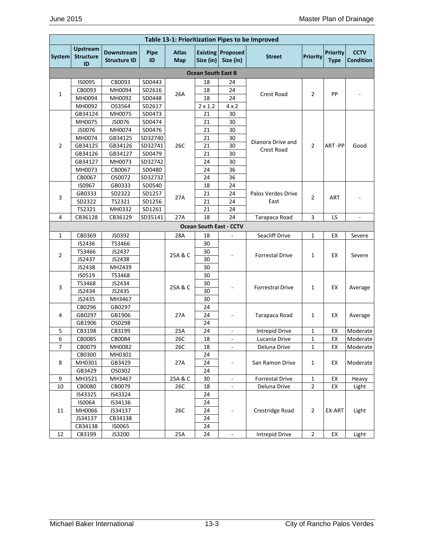|                          | Table 13-1: Prioritization Pipes to be Improved |                                   |            |                     |                           |                                       |                         |                 |                                |                          |
|--------------------------|-------------------------------------------------|-----------------------------------|------------|---------------------|---------------------------|---------------------------------------|-------------------------|-----------------|--------------------------------|--------------------------|
| System                   | <b>Upstream</b><br><b>Structure</b><br>ID       | Downstream<br><b>Structure ID</b> | Pipe<br>ID | <b>Atlas</b><br>Map | Size (in)                 | <b>Existing Proposed</b><br>Size (in) | <b>Street</b>           | <b>Priority</b> | <b>Priority</b><br><b>Type</b> | <b>CCTV</b><br>Condition |
|                          |                                                 |                                   |            |                     | <b>Ocean South East B</b> |                                       |                         |                 |                                |                          |
|                          | IS0095                                          | CB0093                            | SD0443     |                     | 18                        | 24                                    |                         |                 |                                |                          |
|                          | CB0093                                          | MH0094                            | SD2616     |                     | 18                        | 24                                    |                         |                 |                                |                          |
| $\mathbf{1}$             | MH0094                                          | MH0092                            | SD0448     | 26A                 | 18                        | 24                                    | <b>Crest Road</b>       | $\overline{2}$  | PP                             |                          |
|                          | MH0092                                          | OS3564                            | SD2617     |                     | $2 \times 1.2$            | $4 \times 2$                          |                         |                 |                                |                          |
|                          | GB34124                                         | MH0075                            | SD0473     |                     | 21                        | 30                                    |                         |                 |                                |                          |
|                          | MH0075                                          | JS0076                            | SD0474     |                     | 21                        | 30                                    |                         |                 |                                |                          |
|                          | JS0076                                          | MH0074                            | SD0476     |                     | 21                        | 30                                    |                         |                 |                                |                          |
|                          | MH0074                                          | GB34125                           | SD32740    |                     | 21                        | 30                                    |                         |                 |                                |                          |
| $\overline{2}$           | GB34125                                         | GB34126                           | SD32741    | 26C                 | 21                        | 30                                    | Dianora Drive and       | $\overline{2}$  | ART-PP                         | Good                     |
|                          | GB34126                                         | GB34127                           | SD0479     |                     | 21                        | 30                                    | Crest Road              |                 |                                |                          |
|                          | GB34127                                         | MH0073                            | SD32742    |                     | 24                        | 30                                    |                         |                 |                                |                          |
|                          | MH0073                                          | CB0067                            | SD0480     |                     | 24                        | 36                                    |                         |                 |                                |                          |
|                          | CB0067                                          | OS0072                            | SD32732    |                     | 24                        | 36                                    |                         |                 |                                |                          |
|                          | IS0967                                          | GB0333                            | SD0540     |                     | 18                        | 24                                    |                         |                 |                                |                          |
|                          | GB0333                                          | SD2322                            | SD1257     |                     | 21                        | 24                                    | Palos Verdes Drive      |                 |                                |                          |
| 3                        | SD2322                                          | TS2321                            | SD1256     | 27A                 | 21                        | 24                                    | East                    | $\overline{2}$  | ART                            |                          |
|                          | TS2321                                          | MH0332                            | SD1261     |                     | 21                        | 24                                    |                         |                 |                                |                          |
| 4                        | CB36128                                         | CB36129                           | SD35141    | 27A                 | 18                        | 24                                    | Tarapaca Road           | 3               | LS                             | $\overline{\phantom{a}}$ |
|                          |                                                 |                                   |            |                     |                           | <b>Ocean South East - CCTV</b>        |                         |                 |                                |                          |
| $\mathbf{1}$             | CB0369                                          | JS0392                            |            | 28A                 | 18                        | ÷,                                    | Seacliff Drive          | 1               | EX                             | Severe                   |
|                          | IS2436                                          | TS3466                            |            |                     | 30                        |                                       |                         |                 |                                |                          |
|                          | TS3466                                          | JS2437                            |            |                     | 30                        |                                       |                         |                 |                                |                          |
| $\overline{2}$           | JS2437                                          | JS2438                            |            | 25A & C             | 30                        |                                       | <b>Forrestal Drive</b>  | $\mathbf{1}$    | EX                             | Severe                   |
|                          | JS2438                                          | MH2439                            |            |                     | 30                        |                                       |                         |                 |                                |                          |
|                          | IS0519                                          | TS3468                            |            |                     | 30                        |                                       |                         |                 |                                |                          |
|                          | TS3468                                          | JS2434                            |            |                     | 30                        |                                       |                         |                 |                                |                          |
| 3                        | JS2434                                          | JS2435                            |            | 25A & C             | 30                        |                                       | <b>Forrestral Drive</b> | 1               | EX                             | Average                  |
|                          | JS2435                                          | MH3467                            |            |                     | 30                        |                                       |                         |                 |                                |                          |
|                          | CB0296                                          | GB0297                            |            |                     | 24                        |                                       |                         |                 |                                |                          |
| 4                        | GB0297                                          | GB1906                            |            | 27A                 | 24                        |                                       | Tarapaca Road           | 1               | EX                             | Average                  |
|                          | GB1906                                          | OS0298                            |            |                     | 24                        |                                       |                         |                 |                                |                          |
| 5                        | CB3198                                          | CB3199                            |            | 25A                 | 24                        | $\overline{\phantom{a}}$              | <b>Intrepid Drive</b>   | 1               | EX                             | Moderate                 |
| 6                        | CB0085                                          | CB0084                            |            | 26C                 | 18                        | $\overline{\phantom{a}}$              | Lucania Drive           | 1               | EX                             | Moderate                 |
| $\overline{\phantom{a}}$ | CB0079                                          | MH0082                            |            | 26C                 | 18                        | ÷                                     | Deluna Drive            | 1               | EX                             | Moderate                 |
|                          | CB0300                                          | MH0301                            |            |                     | 24                        |                                       |                         |                 |                                |                          |
| 8                        | MH0301                                          | GB3429                            |            | 27A                 | 24                        |                                       | San Ramon Drive         | 1               | EX                             | Moderate                 |
|                          | GB3429                                          | OS0302                            |            |                     | 24                        |                                       |                         |                 |                                |                          |
| 9                        | MH3521                                          | MH3467                            |            | 25A & C             | 30                        | $\overline{\phantom{a}}$              | <b>Forrestal Drive</b>  | $\mathbf{1}$    | EX                             | Heavy                    |
| 10                       | CB0080                                          | CB0079                            |            | 26C                 | 18                        | $\overline{\phantom{a}}$              | Deluna Drive            | $\overline{2}$  | EX                             | Light                    |
|                          | IS43325                                         | IS43324                           |            |                     | 24                        |                                       |                         |                 |                                |                          |
|                          | IS0064                                          | IS34136                           |            |                     | 24                        |                                       |                         |                 |                                |                          |
| 11                       | MH0066                                          | JS34137                           |            | 26C                 | 24                        |                                       | Crestridge Road         | $\overline{2}$  | EX-ART                         | Light                    |
|                          | JS34137                                         | CB34138                           |            |                     | 24                        |                                       |                         |                 |                                |                          |
|                          | CB34138                                         | IS0065                            |            |                     | 24                        |                                       |                         |                 |                                |                          |
| 12                       | CB3199                                          | JS3200                            |            | 25A                 | 24                        | $\Box$                                | Intrepid Drive          | $\overline{2}$  | EX                             | Light                    |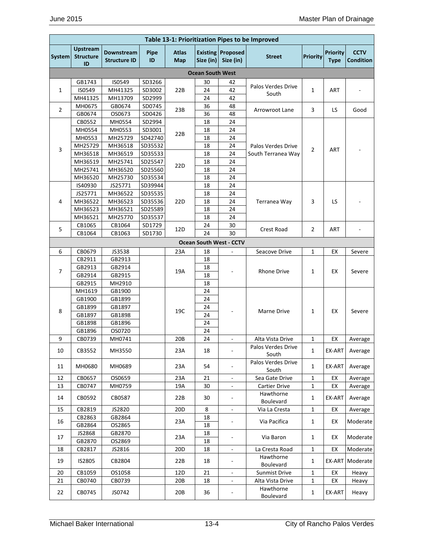|                | Table 13-1: Prioritization Pipes to be Improved |                                   |                    |                     |                         |                                       |                                          |                 |                                |                                 |
|----------------|-------------------------------------------------|-----------------------------------|--------------------|---------------------|-------------------------|---------------------------------------|------------------------------------------|-----------------|--------------------------------|---------------------------------|
| System         | <b>Upstream</b><br><b>Structure</b><br>ID       | Downstream<br><b>Structure ID</b> | Pipe<br>ID         | <b>Atlas</b><br>Map | Size (in)               | <b>Existing Proposed</b><br>Size (in) | <b>Street</b>                            | <b>Priority</b> | <b>Priority</b><br><b>Type</b> | <b>CCTV</b><br><b>Condition</b> |
|                |                                                 |                                   |                    |                     | <b>Ocean South West</b> |                                       |                                          |                 |                                |                                 |
|                | GB1743                                          | IS0549                            | SD3266             |                     | 30                      | 42                                    | Palos Verdes Drive                       |                 |                                |                                 |
| 1              | IS0549                                          | MH41325                           | SD3002             | 22B                 | 24                      | 42                                    | South                                    | $\mathbf{1}$    | ART                            |                                 |
|                | MH41325                                         | MH13709                           | SD2999             |                     | 24                      | 42                                    |                                          |                 |                                |                                 |
| 2              | MH0675                                          | GB0674                            | SD0745             | 23B                 | 36                      | 48                                    | <b>Arrowroot Lane</b>                    | 3               | LS                             | Good                            |
|                | GB0674                                          | OS0673                            | SD0426             |                     | 36                      | 48                                    |                                          |                 |                                |                                 |
|                | CB0552                                          | MH0554                            | SD2994             |                     | 18                      | 24                                    |                                          |                 |                                |                                 |
|                | MH0554                                          | MH0553                            | SD3001             | 22B                 | 18                      | 24                                    |                                          |                 |                                |                                 |
|                | MH0553                                          | MH25729                           | SD42740            |                     | 18<br>18                | 24<br>24                              |                                          |                 |                                |                                 |
| 3              | MH25729<br>MH36518                              | MH36518<br>MH36519                | SD35532<br>SD35533 |                     | 18                      | 24                                    | Palos Verdes Drive<br>South Terranea Way | $\overline{2}$  | <b>ART</b>                     |                                 |
|                | MH36519                                         | MH25741                           | SD25547            |                     | 18                      | 24                                    |                                          |                 |                                |                                 |
|                | MH25741                                         | MH36520                           | SD25560            | 22 <sub>D</sub>     | 18                      | 24                                    |                                          |                 |                                |                                 |
|                | MH36520                                         | MH25730                           | SD35534            |                     | 18                      | 24                                    |                                          |                 |                                |                                 |
|                | IS40930                                         | JS25771                           | SD39944            |                     | 18                      | 24                                    |                                          |                 |                                |                                 |
|                | JS25771                                         | MH36522                           | SD35535            |                     | 18                      | 24                                    |                                          |                 |                                |                                 |
| 4              | MH36522                                         | MH36523                           | SD35536            | 22D                 | 18                      | 24                                    | Terranea Way                             | 3               | LS                             |                                 |
|                | MH36523                                         | MH36521                           | SD25589            |                     | 18                      | 24                                    |                                          |                 |                                |                                 |
|                | MH36521                                         | MH25770                           | SD35537            |                     | 18                      | 24                                    |                                          |                 |                                |                                 |
| 5              | CB1065                                          | CB1064                            | SD1729             |                     | 24                      | 30                                    |                                          | $\overline{2}$  |                                |                                 |
|                | CB1064                                          | CB1063                            | SD1730             | 12D                 | 24                      | 30                                    | Crest Road                               |                 | ART                            |                                 |
|                |                                                 |                                   |                    |                     |                         | <b>Ocean South West - CCTV</b>        |                                          |                 |                                |                                 |
| 6              | CB0679                                          | JS3538                            |                    | 23A                 | 18                      | ÷,                                    | Seacove Drive                            | 1               | EX                             | Severe                          |
|                | CB2911                                          | GB2913                            |                    |                     | 18                      |                                       |                                          |                 |                                |                                 |
| $\overline{7}$ | GB2913                                          | GB2914                            |                    | 19A                 | 18                      |                                       | <b>Rhone Drive</b>                       | 1               | EX                             |                                 |
|                | GB2914                                          | GB2915                            |                    |                     | 18                      |                                       |                                          |                 |                                | Severe                          |
|                | GB2915                                          | MH2910                            |                    |                     | 18                      |                                       |                                          |                 |                                |                                 |
|                | MH1619                                          | GB1900                            |                    |                     | 24                      |                                       |                                          |                 |                                |                                 |
|                | GB1900                                          | GB1899                            |                    |                     | 24                      |                                       |                                          |                 |                                |                                 |
| 8              | GB1899                                          | GB1897                            |                    | 19C                 | 24                      |                                       | Marne Drive                              | 1               | EX                             | Severe                          |
|                | GB1897                                          | GB1898                            |                    |                     | 24                      |                                       |                                          |                 |                                |                                 |
|                | GB1898                                          | GB1896                            |                    |                     | 24                      |                                       |                                          |                 |                                |                                 |
|                | GB1896                                          | OS0720                            |                    |                     | 24                      |                                       |                                          |                 |                                |                                 |
| 9              | CB0739                                          | MH0741                            |                    | 20B                 | 24                      | $\overline{\phantom{a}}$              | Alta Vista Drive                         | 1               | EX                             | Average                         |
| 10             | CB3552                                          | MH3550                            |                    | 23A                 | 18                      |                                       | Palos Verdes Drive<br>South              | 1               | EX-ART                         | Average                         |
| 11             | MH0680                                          | MH0689                            |                    | 23A                 | 54                      |                                       | Palos Verdes Drive<br>South              | $\mathbf{1}$    | EX-ART                         | Average                         |
| 12             | CB0657                                          | OS0659                            |                    | 23A                 | 21                      | $\overline{a}$                        | Sea Gate Drive                           | 1               | EX                             | Average                         |
| 13             | CB0747                                          | MH0759                            |                    | 19A                 | 30                      | $\blacksquare$                        | <b>Cartier Drive</b>                     | 1               | EX                             | Average                         |
| 14             | CB0592                                          | CB0587                            |                    | 22B                 | 30                      | $\overline{\phantom{a}}$              | Hawthorne<br>Boulevard                   | 1               | EX-ART                         | Average                         |
| 15             | CB2819                                          | JS2820                            |                    | 20 <sub>D</sub>     | 8                       | ۰                                     | Via La Cresta                            | 1               | EX                             | Average                         |
| 16             | CB2863                                          | GB2864                            |                    | 23A                 | 18                      | $\overline{a}$                        | Via Pacifica                             | 1               | EX                             | Moderate                        |
|                | GB2864                                          | OS2865                            |                    |                     | 18                      |                                       |                                          |                 |                                |                                 |
| 17             | JS2868                                          | GB2870                            |                    | 23A                 | 18                      | $\qquad \qquad \blacksquare$          | Via Baron                                | $\mathbf{1}$    | EX                             | Moderate                        |
|                | GB2870                                          | OS2869                            |                    |                     | 18                      |                                       |                                          |                 |                                |                                 |
| 18             | CB2817                                          | JS2816                            |                    | 20 <sub>D</sub>     | 18                      |                                       | La Cresta Road                           | 1               | EX                             | Moderate                        |
| 19             | IS2805                                          | CB2804                            |                    | 22B                 | 18                      | $\overline{\phantom{a}}$              | Hawthorne<br>Boulevard                   | 1               | EX-ART                         | Moderate                        |
| 20             | CB1059                                          | OS1058                            |                    | 12D                 | 21                      | $\overline{\phantom{a}}$              | Sunmist Drive                            | $\mathbf{1}$    | EX                             | Heavy                           |
| 21             | CB0740                                          | CB0739                            |                    | 20B                 | 18                      | $\overline{\phantom{a}}$              | Alta Vista Drive                         | 1               | EX                             | Heavy                           |
| 22             | CB0745                                          | JS0742                            |                    | 20B                 | 36                      | -                                     | Hawthorne<br>Boulevard                   | 1               | EX-ART                         | Heavy                           |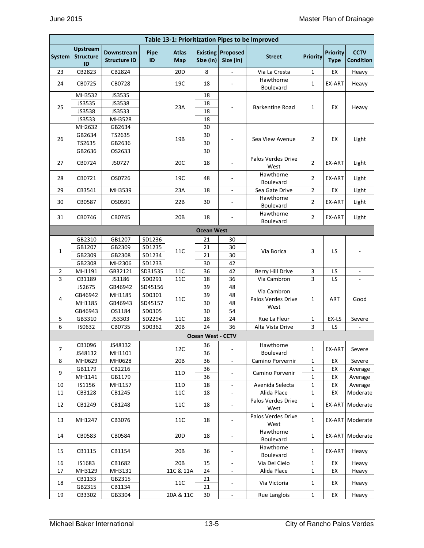|                |                                           |                                   |                   |                            |                          |                                       | Table 13-1: Prioritization Pipes to be Improved |                 |                                |                                 |
|----------------|-------------------------------------------|-----------------------------------|-------------------|----------------------------|--------------------------|---------------------------------------|-------------------------------------------------|-----------------|--------------------------------|---------------------------------|
| <b>System</b>  | <b>Upstream</b><br><b>Structure</b><br>ID | Downstream<br><b>Structure ID</b> | <b>Pipe</b><br>ID | <b>Atlas</b><br><b>Map</b> | Size (in)                | <b>Existing Proposed</b><br>Size (in) | <b>Street</b>                                   | <b>Priority</b> | <b>Priority</b><br><b>Type</b> | <b>CCTV</b><br><b>Condition</b> |
| 23             | CB2823                                    | CB2824                            |                   | 20 <sub>D</sub>            | 8                        |                                       | Via La Cresta                                   | 1               | EX                             | Heavy                           |
| 24             | CB0725                                    | CB0728                            |                   | 19C                        | 18                       | $\sim$                                | Hawthorne<br><b>Boulevard</b>                   | $\mathbf{1}$    | EX-ART                         | Heavy                           |
|                | MH3532                                    | JS3535                            |                   |                            | 18                       |                                       |                                                 |                 |                                |                                 |
|                | JS3535                                    | JS3538                            |                   |                            | 18                       |                                       |                                                 |                 |                                |                                 |
| 25             | JS3538                                    | JS3533                            |                   | 23A                        | 18                       |                                       | <b>Barkentine Road</b>                          | 1               | EХ                             | Heavy                           |
|                | JS3533                                    | MH3528                            |                   |                            | 18                       |                                       |                                                 |                 |                                |                                 |
|                | MH2632                                    | GB2634                            |                   |                            | 30                       |                                       |                                                 |                 |                                |                                 |
| 26             | GB2634                                    | TS2635                            |                   | 19B                        | 30                       |                                       | Sea View Avenue                                 | $\overline{2}$  | EX                             | Light                           |
|                | TS2635                                    | GB2636                            |                   |                            | 30                       |                                       |                                                 |                 |                                |                                 |
|                | GB2636                                    | OS2633                            |                   |                            | 30                       |                                       |                                                 |                 |                                |                                 |
| 27             | CB0724                                    | JS0727                            |                   | 20C                        | 18                       | $\overline{\phantom{a}}$              | Palos Verdes Drive<br>West                      | $\overline{2}$  | EX-ART                         | Light                           |
| 28             | CB0721                                    | OS0726                            |                   | 19C                        | 48                       | $\overline{\phantom{a}}$              | Hawthorne<br>Boulevard                          | $\overline{2}$  | EX-ART                         | Light                           |
| 29             | CB3541                                    | MH3539                            |                   | 23A                        | 18                       | $\overline{\phantom{a}}$              | Sea Gate Drive                                  | $\overline{2}$  | EХ                             | Light                           |
| 30             | CB0587                                    | OS0591                            |                   | 22B                        | 30                       | $\overline{\phantom{a}}$              | Hawthorne<br>Boulevard                          | $\overline{2}$  | EX-ART                         | Light                           |
| 31             | CB0746                                    | CB0745                            |                   | 20B                        | 18                       |                                       | Hawthorne<br>Boulevard                          | $\overline{2}$  | EX-ART                         | Light                           |
|                |                                           |                                   |                   |                            | <b>Ocean West</b>        |                                       |                                                 |                 |                                |                                 |
|                | GB2310                                    | GB1207                            | SD1236            |                            | 21                       | 30                                    |                                                 |                 |                                |                                 |
|                | GB1207                                    | GB2309                            | SD1235            |                            | 21                       | 30                                    |                                                 |                 |                                |                                 |
| 1              | GB2309                                    | GB2308                            | SD1234            | 11C                        | 21                       | 30                                    | Via Borica                                      | 3               | LS                             |                                 |
|                | GB2308                                    | MH2306                            | SD1233            |                            | 30                       | 42                                    |                                                 |                 |                                |                                 |
| 2              | MH1191                                    | GB32121                           | SD31535           | 11C                        | 36                       | 42                                    | Berry Hill Drive                                | 3               | LS                             |                                 |
| $\overline{3}$ | CB1189                                    | JS1186                            | SD0291            | 11C                        | 18                       | 36                                    | Via Cambron                                     | 3               | LS                             |                                 |
|                | JS2675                                    | GB46942                           | SD45156           |                            | 39                       | 48                                    |                                                 |                 |                                |                                 |
| 4              | GB46942                                   | MH1185                            | SD0301            | 11C                        | 39                       | 48                                    | Via Cambron<br>Palos Verdes Drive               | 1               | <b>ART</b>                     | Good                            |
|                | MH1185                                    | GB46943                           | SD45157           |                            | 30                       | 48                                    | West                                            |                 |                                |                                 |
|                | GB46943                                   | OS1184                            | SD0305            |                            | 30                       | 54                                    |                                                 |                 |                                |                                 |
| 5              | GB3310                                    | JS3303                            | SD2294            | 11C                        | 18                       | 24                                    | Rue La Fleur                                    | 1               | EX-LS                          | Severe                          |
| 6              | IS0632                                    | CB0735                            | SD0362            | 20B                        | 24                       | 36                                    | Alta Vista Drive                                | 3               | LS                             | ÷,                              |
|                |                                           |                                   |                   |                            | <b>Ocean West - CCTV</b> |                                       |                                                 |                 |                                |                                 |
|                | CB1096                                    | JS48132                           |                   |                            | 36                       |                                       | Hawthorne                                       |                 |                                |                                 |
| 7              | JS48132                                   | MH1101                            |                   | 12C                        | 36                       | $\overline{\phantom{a}}$              | Boulevard                                       | 1               | EX-ART                         | Severe                          |
| 8              | MH0629                                    | MH0628                            |                   | 20B                        | 36                       | $\blacksquare$                        | Camino Porvernir                                | 1               | EX                             | Severe                          |
| 9              | GB1179                                    | CB2216                            |                   | 11D                        | 36                       |                                       | Camino Porvenir                                 | 1               | EX                             | Average                         |
|                | MH1141                                    | GB1179                            |                   |                            | 36                       |                                       |                                                 | 1               | EХ                             | Average                         |
| 10             | IS1156                                    | MH1157                            |                   | 11D                        | 18                       | $\overline{\phantom{a}}$              | Avenida Selecta                                 | 1               | EX                             | Average                         |
| 11             | CB3128                                    | CB1245                            |                   | 11C                        | 18                       | $\overline{\phantom{a}}$              | Alida Place                                     | 1               | EX                             | Moderate                        |
| 12             | CB1249                                    | CB1248                            |                   | 11C                        | 18                       | $\overline{\phantom{a}}$              | Palos Verdes Drive<br>West                      | 1               | EX-ART                         | Moderate                        |
| 13             | MH1247                                    | CB3076                            |                   | 11C                        | 18                       | $\overline{\phantom{a}}$              | Palos Verdes Drive<br>West                      | 1               |                                | EX-ART Moderate                 |
| 14             | CB0583                                    | CB0584                            |                   | 20D                        | 18                       | $\overline{\phantom{a}}$              | Hawthorne<br>Boulevard                          | 1               |                                | EX-ART Moderate                 |
| 15             | CB1115                                    | CB1154                            |                   | 20B                        | 36                       | $\overline{\phantom{a}}$              | Hawthorne<br>Boulevard                          | 1               | EX-ART                         | Heavy                           |
| 16             | IS1683                                    | CB1682                            |                   | 20B                        | 15                       | $\overline{\phantom{a}}$              | Via Del Cielo                                   | 1               | EX                             | Heavy                           |
| 17             | MH3129                                    | MH3131                            |                   | 11C & 11A                  | 24                       |                                       | Alida Place                                     | $\mathbf{1}$    | ЕX                             | Heavy                           |
| 18             | CB1133                                    | GB2315                            |                   | 11C                        | 21                       | -                                     | Via Victoria                                    | $\mathbf{1}$    | EX                             | Heavy                           |
|                | GB2315                                    | CB1134                            |                   |                            | 21                       |                                       |                                                 |                 |                                |                                 |
| 19             | CB3302                                    | GB3304                            |                   | 20A & 11C                  | 30                       | $\overline{\phantom{a}}$              | Rue Langlois                                    | $\mathbf{1}$    | EX                             | Heavy                           |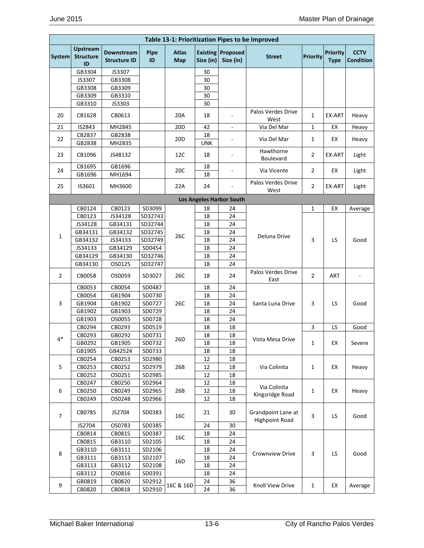|                |                                           |                                          |                   |                            | Table 13-1: Prioritization Pipes to be Improved |                                       |                                             |                 |                                |                                 |
|----------------|-------------------------------------------|------------------------------------------|-------------------|----------------------------|-------------------------------------------------|---------------------------------------|---------------------------------------------|-----------------|--------------------------------|---------------------------------|
| System         | <b>Upstream</b><br><b>Structure</b><br>ID | <b>Downstream</b><br><b>Structure ID</b> | <b>Pipe</b><br>ID | <b>Atlas</b><br><b>Map</b> | Size (in)                                       | <b>Existing Proposed</b><br>Size (in) | <b>Street</b>                               | <b>Priority</b> | <b>Priority</b><br><b>Type</b> | <b>CCTV</b><br><b>Condition</b> |
|                | GB3304                                    | JS3307                                   |                   |                            | 30                                              |                                       |                                             |                 |                                |                                 |
|                | JS3307                                    | GB3308                                   |                   |                            | 30                                              |                                       |                                             |                 |                                |                                 |
|                | GB3308                                    | GB3309                                   |                   |                            | 30                                              |                                       |                                             |                 |                                |                                 |
|                | GB3309                                    | GB3310                                   |                   |                            | 30                                              |                                       |                                             |                 |                                |                                 |
|                | GB3310                                    | JS3303                                   |                   |                            | 30                                              |                                       |                                             |                 |                                |                                 |
| 20             | CB1628                                    | CB0613                                   |                   | 20A                        | 18                                              | ÷.                                    | Palos Verdes Drive<br>West                  | $\mathbf{1}$    | EX-ART                         | Heavy                           |
| 21             | IS2843                                    | MH2845                                   |                   | 20 <sub>D</sub>            | 42                                              | $\overline{\phantom{a}}$              | Via Del Mar                                 | 1               | EX                             | Heavy                           |
|                | CB2837                                    | GB2838                                   |                   |                            | 18                                              |                                       |                                             |                 |                                |                                 |
| 22             | GB2838                                    | MH2835                                   |                   | 20 <sub>D</sub>            | <b>UNK</b>                                      |                                       | Via Del Mar                                 | 1               | EX                             | Heavy                           |
| 23             | CB1096                                    | JS48132                                  |                   | 12C                        | 18                                              | $\overline{\phantom{a}}$              | Hawthorne<br>Boulevard                      | $\overline{2}$  | EX-ART                         | Light                           |
|                | CB1695                                    | GB1696                                   |                   |                            | 18                                              |                                       |                                             |                 |                                |                                 |
| 24             | GB1696                                    | MH1694                                   |                   | 20C                        | 18                                              |                                       | Via Vicente                                 | $\overline{2}$  | EX                             | Light                           |
| 25             | IS3601                                    | MH3600                                   |                   | 22A                        | 24                                              |                                       | Palos Verdes Drive<br>West                  | $\overline{2}$  | EX-ART                         | Light                           |
|                |                                           |                                          |                   |                            |                                                 | <b>Los Angeles Harbor South</b>       |                                             |                 |                                |                                 |
|                | CB0124                                    | CB0123                                   | SD3099            |                            | 18                                              | 24                                    |                                             | 1               | EX                             | Average                         |
|                | CB0123                                    | JS34128                                  | SD32743           |                            | 18                                              | 24                                    |                                             |                 |                                |                                 |
|                | JS34128                                   | GB34131                                  | SD32744           |                            | 18                                              | 24                                    |                                             |                 |                                |                                 |
|                | GB34131                                   | GB34132                                  | SD32745           |                            | 18                                              | 24                                    |                                             |                 |                                |                                 |
| $\mathbf{1}$   | GB34132                                   | JS34133                                  | SD32749           | 26C                        | 18                                              | 24                                    | Deluna Drive                                | 3               | LS                             | Good                            |
|                | JS34133                                   | GB34129                                  | SD0454            |                            | 18                                              | 24                                    |                                             |                 |                                |                                 |
|                | GB34129                                   | GB34130                                  | SD32746           |                            | 18                                              | 24                                    |                                             |                 |                                |                                 |
|                | GB34130                                   | OS0125                                   | SD32747           |                            | 18                                              | 24                                    |                                             |                 |                                |                                 |
| $\overline{2}$ | CB0058                                    | OS0059                                   | SD3027            | 26C                        | 18                                              | 24                                    | Palos Verdes Drive<br>East                  | $\overline{2}$  | ART                            |                                 |
|                | CB0053                                    | CB0054                                   | SD0487            |                            | 18                                              | 24                                    |                                             |                 |                                |                                 |
|                | CB0054                                    | GB1904                                   | SD0730            |                            | 18                                              | 24                                    |                                             |                 |                                |                                 |
| 3              | GB1904                                    | GB1902                                   | SD0727            | 26C                        | 18                                              | 24                                    | Santa Luna Drive                            | 3               | LS                             | Good                            |
|                | GB1902                                    | GB1903                                   | SD0729            |                            | 18                                              | 24                                    |                                             |                 |                                |                                 |
|                | GB1903                                    | OS0055                                   | SD0728            |                            | 18                                              | 24                                    |                                             |                 |                                |                                 |
|                | CB0294                                    | CB0293                                   | SD0519            |                            | 18                                              | 18                                    |                                             | 3               | LS                             | Good                            |
| $4*$           | CB0293                                    | GB0292                                   | SD0731            | 26D                        | 18                                              | 18                                    | Vista Mesa Drive                            |                 |                                |                                 |
|                | GB0292                                    | GB1905                                   | SD0732            |                            | 18                                              | 18                                    |                                             | 1               | EX                             | Severe                          |
|                | GB1905                                    | GB42524                                  | SD0733            |                            | 18                                              | 18                                    |                                             |                 |                                |                                 |
|                | CB0254                                    | CB0253                                   | SD2980            |                            | 12                                              | 18                                    |                                             |                 |                                |                                 |
| 5              | CB0253                                    | CB0252                                   | SD2979            | 26B                        | 12                                              | 18                                    | Via Colinita                                | $\mathbf{1}$    | EX                             | Heavy                           |
|                | CB0252                                    | OS0251                                   | SD2985            |                            | 12                                              | 18                                    |                                             |                 |                                |                                 |
|                | CB0247                                    | CB0250                                   | SD2964            |                            | 12                                              | 18                                    | Via Colinita                                |                 |                                |                                 |
| 6              | CB0250                                    | CB0249                                   | SD2965            | 26B                        | 12                                              | 18                                    | Kingsridge Road                             | $\mathbf{1}$    | EX                             | Heavy                           |
|                | CB0249                                    | OS0248                                   | SD2966            |                            | 12                                              | 18                                    |                                             |                 |                                |                                 |
| $\overline{7}$ | CB0785                                    | JS2704                                   | SD0383            | 16C                        | 21                                              | 30                                    | Grandpoint Lane at<br><b>Highpoint Road</b> | 3               | LS                             | Good                            |
|                | JS2704                                    | OS0783                                   | SD0385            |                            | 24                                              | 30                                    |                                             |                 |                                |                                 |
|                | CB0814                                    | CB0815                                   | SD0387            |                            | 18                                              | 24                                    |                                             |                 |                                |                                 |
|                | CB0815                                    | GB3110                                   | SD2105            | 16C                        | 18                                              | 24                                    |                                             |                 |                                |                                 |
|                | GB3110                                    | GB3111                                   | SD2106            |                            | 18                                              | 24                                    |                                             |                 |                                |                                 |
| 8              | GB3111                                    | GB3113                                   | SD2107            |                            | 18                                              | 24                                    | Crownview Drive                             | 3               | LS                             | Good                            |
|                | GB3113                                    | GB3112                                   | SD2108            | 16D                        | 18                                              | 24                                    |                                             |                 |                                |                                 |
|                | GB3112                                    | OS0816                                   | SD0391            |                            | 18                                              | 24                                    |                                             |                 |                                |                                 |
|                | GB0819                                    | CB0820                                   | SD2912            |                            | 24                                              | 36                                    |                                             |                 |                                |                                 |
| 9              | CB0820                                    | CB0818                                   | SD2910            | 16C & 16D                  | 24                                              | 36                                    | Knoll View Drive                            | $\mathbf{1}$    | EX                             | Average                         |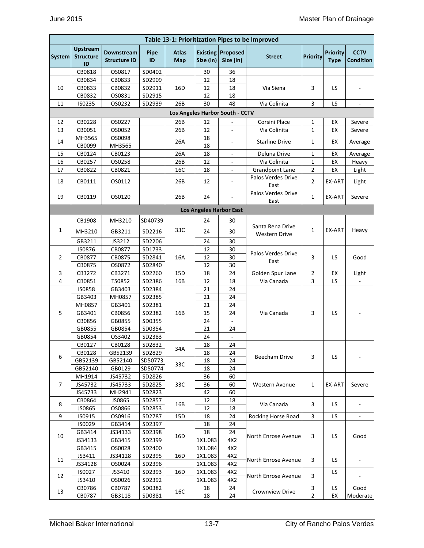|        |                                           |                                   |                   |                     |                    | Table 13-1: Prioritization Pipes to be Improved |                            |                         |                                |                                 |
|--------|-------------------------------------------|-----------------------------------|-------------------|---------------------|--------------------|-------------------------------------------------|----------------------------|-------------------------|--------------------------------|---------------------------------|
| System | <b>Upstream</b><br><b>Structure</b><br>ID | Downstream<br><b>Structure ID</b> | <b>Pipe</b><br>ID | <b>Atlas</b><br>Map | Size (in)          | <b>Existing Proposed</b><br>Size (in)           | <b>Street</b>              | <b>Priority</b>         | <b>Priority</b><br><b>Type</b> | <b>CCTV</b><br><b>Condition</b> |
|        | CB0818                                    | OS0817                            | SD0402            |                     | 30                 | 36                                              |                            |                         |                                |                                 |
|        | CB0834                                    | CB0833                            | SD2909            |                     | 12                 | 18                                              |                            |                         |                                |                                 |
| 10     | CB0833                                    | CB0832                            | SD2911            | 16D                 | 12                 | 18                                              | Via Siena                  | 3                       | LS                             |                                 |
|        | CB0832                                    | OS0831                            | SD2915            |                     | 12                 | 18                                              |                            |                         |                                |                                 |
| 11     | IS0235                                    | OS0232                            | SD2939            | 26B                 | 30                 | 48                                              | Via Colinita               | 3                       | LS                             | $\overline{\phantom{a}}$        |
|        |                                           |                                   |                   |                     |                    | Los Angeles Harbor South - CCTV                 |                            |                         |                                |                                 |
| 12     | CB0228                                    | OS0227                            |                   | 26B                 | 12                 |                                                 | Corsini Place              | $\mathbf{1}$            | EX                             | Severe                          |
| 13     | CB0051                                    | OS0052                            |                   | 26B                 | 12                 |                                                 | Via Colinita               | $\mathbf{1}$            | EX                             | Severe                          |
|        | MH3565                                    | OS0098                            |                   |                     | 18                 |                                                 |                            |                         |                                |                                 |
| 14     | CB0099                                    | MH3565                            |                   | 26A                 | 18                 |                                                 | <b>Starline Drive</b>      | 1                       | EX                             | Average                         |
| 15     | CB0124                                    | CB0123                            |                   | 26A                 | 18                 | $\overline{\phantom{a}}$                        | Deluna Drive               | $\mathbf{1}$            | EX                             | Average                         |
| 16     | CB0257                                    | OS0258                            |                   | 26B                 | 12                 | $\overline{\phantom{a}}$                        | Via Colinita               | $\mathbf{1}$            | EX                             | Heavy                           |
| 17     | CB0822                                    | CB0821                            |                   | 16C                 | 18                 | ۰                                               | <b>Grandpoint Lane</b>     | $\overline{2}$          | EX                             | Light                           |
| 18     | CB0111                                    | OS0112                            |                   | 26B                 | 12                 | $\overline{a}$                                  | Palos Verdes Drive<br>East | $\overline{2}$          | EX-ART                         | Light                           |
| 19     | CB0119                                    | OS0120                            |                   | 26B                 | 24                 |                                                 | Palos Verdes Drive<br>East | $\mathbf{1}$            | EX-ART                         | Severe                          |
|        |                                           |                                   |                   |                     |                    | <b>Los Angeles Harbor East</b>                  |                            |                         |                                |                                 |
|        | CB1908                                    | MH3210                            | SD40739           |                     | 24                 | 30                                              |                            |                         |                                |                                 |
| 1      |                                           |                                   |                   | 33C                 |                    |                                                 | Santa Rena Drive           | $\mathbf{1}$            | EX-ART                         | Heavy                           |
|        | MH3210                                    | GB3211                            | SD2216            |                     | 24                 | 30                                              | <b>Western Drive</b>       |                         |                                |                                 |
|        | GB3211                                    | JS3212                            | SD2206            |                     | 24                 | 30                                              |                            |                         |                                |                                 |
|        | IS0876                                    | CB0877                            | SD1733            |                     | 12                 | 30                                              | Palos Verdes Drive         |                         |                                |                                 |
| 2      | CB0877                                    | CB0875                            | SD2841            | 16A                 | 12                 | 30                                              | East                       | 3                       | LS.                            | Good                            |
|        | CB0875                                    | OS0872                            | SD2840            |                     | 12                 | 30                                              |                            |                         |                                |                                 |
| 3<br>4 | CB3272<br>CB0851                          | CB3271                            | SD2260            | 15D                 | 18                 | 24                                              | Golden Spur Lane           | $\overline{2}$<br>3     | EX                             | Light                           |
|        | <b>IS0858</b>                             | TS0852<br>GB3403                  | SD2386<br>SD2384  | 16B                 | 12<br>21           | 18<br>24                                        | Via Canada                 |                         | LS                             |                                 |
|        | GB3403                                    | MH0857                            | SD2385            |                     | 21                 | 24                                              |                            |                         |                                |                                 |
|        | MH0857                                    | GB3401                            | SD2381            |                     | 21                 | 24                                              |                            |                         |                                |                                 |
| 5      | GB3401                                    | CB0856                            | SD2382            | 16B                 | 15                 | 24                                              | Via Canada                 | 3                       | LS                             |                                 |
|        | CB0856                                    | GB0855                            | SD0355            |                     | 24                 |                                                 |                            |                         |                                |                                 |
|        | GB0855                                    | GB0854                            | SD0354            |                     | 21                 | 24                                              |                            |                         |                                |                                 |
|        | GB0854                                    | OS3402                            | SD2383            |                     | 24                 | $\overline{a}$                                  |                            |                         |                                |                                 |
|        | CB0127                                    | CB0128                            | SD2832            |                     | 18                 | 24                                              |                            |                         |                                |                                 |
|        | CB0128                                    | GB52139                           | SD2829            | 34A                 | 18                 | 24                                              |                            |                         |                                |                                 |
| 6      | GB52139                                   | GB52140                           | SD50773           |                     | 18                 | 24                                              | <b>Beecham Drive</b>       | 3                       | LS                             |                                 |
|        | GB52140                                   | GB0129                            | SD50774           | 33C                 | 18                 | 24                                              |                            |                         |                                |                                 |
|        | MH1914                                    | JS45732                           | SD2826            |                     | 36                 | 60                                              |                            |                         |                                |                                 |
| 7      | JS45732                                   | JS45733                           | SD2825            | 33C                 | 36                 | 60                                              | Western Avenue             | 1                       | EX-ART                         | Severe                          |
|        | JS45733                                   | MH2941                            | SD2823            |                     | 42                 | 60                                              |                            |                         |                                |                                 |
| 8      | CB0864                                    | JS0865                            | SD2857            | 16B                 | 12                 | 18                                              | Via Canada                 | 3                       | LS                             |                                 |
|        | JS0865                                    | OS0866                            | SD2853            |                     | 12                 | 18                                              |                            |                         |                                |                                 |
| 9      | IS0915                                    | OS0916                            | SD2787            | 15D                 | 18                 | 24                                              | Rocking Horse Road         | $\overline{\mathbf{3}}$ | LS                             |                                 |
|        | IS0029                                    | GB3414                            | SD2397            |                     | 18                 | 24                                              |                            |                         |                                |                                 |
| 10     | GB3414                                    | JS34133                           | SD2398            | 16D                 | 18                 | 24                                              | North Enrose Avenue        | 3                       | LS                             | Good                            |
|        | JS34133                                   | GB3415                            | SD2399            |                     | 1X1.083            | 4X2                                             |                            |                         |                                |                                 |
|        | GB3415                                    | OS0028                            | SD2400            |                     | 1X1.084            | 4X2                                             |                            |                         |                                |                                 |
| 11     | JS3411                                    | JS34128<br>OS0024                 | SD2395            | 16D                 | 1X1.083            | 4X2<br>4X2                                      | North Enrose Avenue        | 3                       | LS                             |                                 |
|        | JS34128<br>IS0027                         | JS3410                            | SD2396<br>SD2393  | 16D                 | 1X1.083<br>1X1.083 | 4X2                                             |                            |                         | LS.                            |                                 |
| 12     | JS3410                                    | OS0026                            | SD2392            |                     | 1X1.083            | 4X2                                             | North Enrose Avenue        | 3                       |                                |                                 |
|        | CB0786                                    | CB0787                            | SD0382            |                     | 18                 | 24                                              |                            | 3                       | LS                             | Good                            |
| 13     | CB0787                                    | GB3118                            | SD0381            | 16C                 | 18                 | 24                                              | Crownview Drive            | $\overline{2}$          | EX                             | Moderate                        |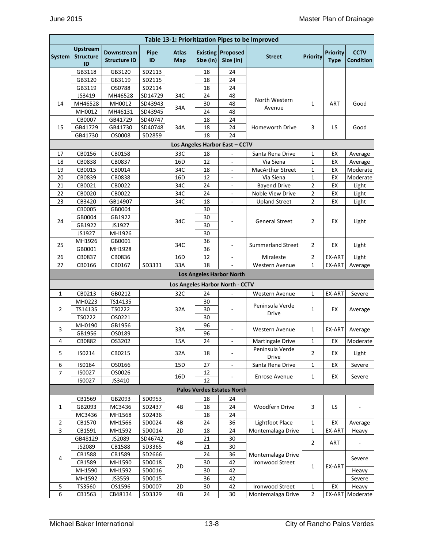| <b>Upstream</b><br><b>Atlas</b><br><b>Existing Proposed</b><br><b>Priority</b><br><b>CCTV</b><br>Downstream<br>Pipe<br><b>Priority</b><br><b>Structure</b><br>System<br><b>Street</b><br>ID<br>Size (in)<br>Size (in)<br><b>Structure ID</b><br><b>Map</b><br><b>Type</b><br>ID<br>GB3118<br>GB3120<br>SD2113<br>18<br>24<br>GB3120<br>24<br>GB3119<br>SD2115<br>18<br>24<br>GB3119<br>OS0788<br>SD2114<br>18<br>JS3419<br>MH46528<br>SD14729<br>34C<br>24<br>48<br>North Western<br>14<br>MH46528<br>MH0012<br>SD43943<br>48<br>1<br>30<br>ART<br>Good<br>34A<br>Avenue<br>SD43945<br>MH0012<br>MH46131<br>24<br>48<br>CB0007<br>GB41729<br>SD40747<br>18<br>24<br>15<br>GB41729<br>GB41730<br>SD40748<br>LS<br>34A<br>18<br>24<br>3<br>Good<br>Homeworth Drive<br>SD2859<br>18<br>24<br>GB41730<br>OS0008<br>Los Angeles Harbor East - CCTV<br>17<br>CB0156<br>CB0158<br>33C<br>$\mathbf{1}$<br>EX<br>18<br>Santa Rena Drive<br>Average<br>CB0838<br>16 <sub>D</sub><br>12<br>$\mathbf{1}$<br>EX<br>18<br>CB0837<br>Via Siena<br>Average<br>CB0015<br>$\overline{a}$<br>$\mathbf 1$<br>19<br>CB0014<br>34C<br>18<br><b>MacArthur Street</b><br>EX<br>CB0839<br>CB0838<br>16D<br>12<br>1<br>EX<br>20<br>Via Siena<br>2<br>21<br>CB0021<br>CB0022<br>34C<br>24<br><b>Bayend Drive</b><br>EX<br>Light<br>$\overline{\phantom{a}}$<br>Noble View Drive<br>2<br>22<br>CB0020<br>CB0022<br>34C<br>24<br>EX<br>Light<br>$\overline{\phantom{a}}$<br>2<br>23<br>CB3420<br>GB14907<br>34C<br>18<br><b>Upland Street</b><br>EX<br>Light<br>$\overline{\phantom{a}}$<br>CB0005<br>GB0004<br>30<br>GB1922<br>30<br>GB0004<br>24<br><b>General Street</b><br>$\overline{2}$<br>34C<br>EX<br>Light<br>30<br>GB1922<br>JS1927<br>JS1927<br>MH1926<br>30<br>MH1926<br>GB0001<br>36<br>25<br>34C<br><b>Summerland Street</b><br>$\overline{2}$<br>EX<br>Light<br>ä,<br>MH1928<br>36<br>GB0001<br>$\overline{2}$<br>26<br>CB0837<br>CB0836<br>16D<br>12<br>Miraleste<br>EX-ART<br>Light<br>27<br>SD3331<br>33A<br>18<br>$\mathbf{1}$<br>CB0166<br>CB0167<br><b>Western Avenue</b><br>EX-ART<br>Average<br><b>Los Angeles Harbor North</b><br>Los Angeles Harbor North - CCTV<br>CB0213<br>GB0212<br>32C<br>EX-ART<br>$\mathbf{1}$<br>24<br>1<br>Severe<br>$\overline{\phantom{a}}$<br>Western Avenue<br>MH0223<br>TS14135<br>30<br>Peninsula Verde<br>TS0222<br>TS14135<br>30<br>2<br>32A<br>1<br>EX<br>Average<br>Drive<br>TS0222<br>OS0221<br>30<br>MH0190<br>GB1956<br>96<br>3<br>33A<br><b>Western Avenue</b><br>1<br>EX-ART<br>Average<br>96<br>GB1956<br>OS0189<br>24<br>4<br>CB0882<br>OS3202<br>15A<br>1<br>EX<br>Martingale Drive<br>Moderate<br>$\overline{\phantom{a}}$<br>Peninsula Verde<br>5<br>IS0214<br>32A<br>$\overline{2}$<br>CB0215<br>18<br>EX<br>Light<br>Drive<br>IS0164<br>OS0166<br>$\omega$<br>Severe<br>6<br>15D<br>27<br>Santa Rena Drive<br>1<br>EX<br>$\overline{7}$<br>IS0027<br>OS0026<br>12<br>16D<br>Enrose Avenue<br>$\mathbf{1}$<br>EX<br>Severe<br>IS0027<br>JS3410<br>12<br><b>Palos Verdes Estates North</b><br>SD0953<br>CB1569<br>GB2093<br>18<br>24<br>$\mathbf{1}$<br>GB2093<br>MC3436<br>SD2437<br>4B<br>18<br>24<br>Woodfern Drive<br>3<br>LS<br>MC3436<br>MH1568<br>SD2436<br>18<br>24<br>Lightfoot Place<br>$\overline{2}$<br>SD0024<br>4B<br>24<br>36<br>$\mathbf 1$<br>EX<br>CB1570<br>MH1566<br>Average<br>$\overline{3}$<br>CB1591<br>MH1592<br>SD0014<br>2D<br>18<br>24<br>Montemalaga Drive<br>$\mathbf{1}$<br>EX-ART<br>Heavy<br>GB48129<br>JS2089<br>SD46742<br>30<br>21<br>4B<br>$\overline{2}$<br>ART<br>$\overline{\phantom{a}}$<br>JS2089<br>CB1588<br>SD3365<br>21<br>30<br>CB1588<br>CB1589<br>SD2666<br>24<br>36<br>Montemalaga Drive<br>4<br>Severe<br><b>Ironwood Street</b><br>CB1589<br>MH1590<br>SD0018<br>42<br>30<br>2D<br>$\mathbf{1}$<br>EX-ART<br>MH1590<br>MH1592<br>SD0016<br>30<br>42<br>Heavy<br>SD0015<br>36<br>MH1592<br>JS3559<br>42<br>Severe<br>Ironwood Street<br>TS3560<br>OS1596<br>SD0007<br>2D<br>30<br>42<br>EX<br>5<br>1<br>Heavy<br>6<br>CB1563<br>CB48134<br>SD3329<br>4B<br>24<br>30<br>Montemalaga Drive<br>$\overline{2}$<br>EX-ART<br>Moderate |  |  |  | Table 13-1: Prioritization Pipes to be Improved |  |                  |
|------------------------------------------------------------------------------------------------------------------------------------------------------------------------------------------------------------------------------------------------------------------------------------------------------------------------------------------------------------------------------------------------------------------------------------------------------------------------------------------------------------------------------------------------------------------------------------------------------------------------------------------------------------------------------------------------------------------------------------------------------------------------------------------------------------------------------------------------------------------------------------------------------------------------------------------------------------------------------------------------------------------------------------------------------------------------------------------------------------------------------------------------------------------------------------------------------------------------------------------------------------------------------------------------------------------------------------------------------------------------------------------------------------------------------------------------------------------------------------------------------------------------------------------------------------------------------------------------------------------------------------------------------------------------------------------------------------------------------------------------------------------------------------------------------------------------------------------------------------------------------------------------------------------------------------------------------------------------------------------------------------------------------------------------------------------------------------------------------------------------------------------------------------------------------------------------------------------------------------------------------------------------------------------------------------------------------------------------------------------------------------------------------------------------------------------------------------------------------------------------------------------------------------------------------------------------------------------------------------------------------------------------------------------------------------------------------------------------------------------------------------------------------------------------------------------------------------------------------------------------------------------------------------------------------------------------------------------------------------------------------------------------------------------------------------------------------------------------------------------------------------------------------------------------------------------------------------------------------------------------------------------------------------------------------------------------------------------------------------------------------------------------------------------------------------------------------------------------------------------------------------------------------------------------------------------------------------------------------------------------------------------------------------------------------------------------------------------------------------------------------------------------------------------------------------------------------------------------------------------------------------------------------------------------------------------------------------------------------------------------------------------------------------------------------------------------------------------------------------------------------|--|--|--|-------------------------------------------------|--|------------------|
|                                                                                                                                                                                                                                                                                                                                                                                                                                                                                                                                                                                                                                                                                                                                                                                                                                                                                                                                                                                                                                                                                                                                                                                                                                                                                                                                                                                                                                                                                                                                                                                                                                                                                                                                                                                                                                                                                                                                                                                                                                                                                                                                                                                                                                                                                                                                                                                                                                                                                                                                                                                                                                                                                                                                                                                                                                                                                                                                                                                                                                                                                                                                                                                                                                                                                                                                                                                                                                                                                                                                                                                                                                                                                                                                                                                                                                                                                                                                                                                                                                                                                                                              |  |  |  |                                                 |  | <b>Condition</b> |
|                                                                                                                                                                                                                                                                                                                                                                                                                                                                                                                                                                                                                                                                                                                                                                                                                                                                                                                                                                                                                                                                                                                                                                                                                                                                                                                                                                                                                                                                                                                                                                                                                                                                                                                                                                                                                                                                                                                                                                                                                                                                                                                                                                                                                                                                                                                                                                                                                                                                                                                                                                                                                                                                                                                                                                                                                                                                                                                                                                                                                                                                                                                                                                                                                                                                                                                                                                                                                                                                                                                                                                                                                                                                                                                                                                                                                                                                                                                                                                                                                                                                                                                              |  |  |  |                                                 |  |                  |
|                                                                                                                                                                                                                                                                                                                                                                                                                                                                                                                                                                                                                                                                                                                                                                                                                                                                                                                                                                                                                                                                                                                                                                                                                                                                                                                                                                                                                                                                                                                                                                                                                                                                                                                                                                                                                                                                                                                                                                                                                                                                                                                                                                                                                                                                                                                                                                                                                                                                                                                                                                                                                                                                                                                                                                                                                                                                                                                                                                                                                                                                                                                                                                                                                                                                                                                                                                                                                                                                                                                                                                                                                                                                                                                                                                                                                                                                                                                                                                                                                                                                                                                              |  |  |  |                                                 |  |                  |
|                                                                                                                                                                                                                                                                                                                                                                                                                                                                                                                                                                                                                                                                                                                                                                                                                                                                                                                                                                                                                                                                                                                                                                                                                                                                                                                                                                                                                                                                                                                                                                                                                                                                                                                                                                                                                                                                                                                                                                                                                                                                                                                                                                                                                                                                                                                                                                                                                                                                                                                                                                                                                                                                                                                                                                                                                                                                                                                                                                                                                                                                                                                                                                                                                                                                                                                                                                                                                                                                                                                                                                                                                                                                                                                                                                                                                                                                                                                                                                                                                                                                                                                              |  |  |  |                                                 |  |                  |
|                                                                                                                                                                                                                                                                                                                                                                                                                                                                                                                                                                                                                                                                                                                                                                                                                                                                                                                                                                                                                                                                                                                                                                                                                                                                                                                                                                                                                                                                                                                                                                                                                                                                                                                                                                                                                                                                                                                                                                                                                                                                                                                                                                                                                                                                                                                                                                                                                                                                                                                                                                                                                                                                                                                                                                                                                                                                                                                                                                                                                                                                                                                                                                                                                                                                                                                                                                                                                                                                                                                                                                                                                                                                                                                                                                                                                                                                                                                                                                                                                                                                                                                              |  |  |  |                                                 |  |                  |
|                                                                                                                                                                                                                                                                                                                                                                                                                                                                                                                                                                                                                                                                                                                                                                                                                                                                                                                                                                                                                                                                                                                                                                                                                                                                                                                                                                                                                                                                                                                                                                                                                                                                                                                                                                                                                                                                                                                                                                                                                                                                                                                                                                                                                                                                                                                                                                                                                                                                                                                                                                                                                                                                                                                                                                                                                                                                                                                                                                                                                                                                                                                                                                                                                                                                                                                                                                                                                                                                                                                                                                                                                                                                                                                                                                                                                                                                                                                                                                                                                                                                                                                              |  |  |  |                                                 |  |                  |
|                                                                                                                                                                                                                                                                                                                                                                                                                                                                                                                                                                                                                                                                                                                                                                                                                                                                                                                                                                                                                                                                                                                                                                                                                                                                                                                                                                                                                                                                                                                                                                                                                                                                                                                                                                                                                                                                                                                                                                                                                                                                                                                                                                                                                                                                                                                                                                                                                                                                                                                                                                                                                                                                                                                                                                                                                                                                                                                                                                                                                                                                                                                                                                                                                                                                                                                                                                                                                                                                                                                                                                                                                                                                                                                                                                                                                                                                                                                                                                                                                                                                                                                              |  |  |  |                                                 |  |                  |
|                                                                                                                                                                                                                                                                                                                                                                                                                                                                                                                                                                                                                                                                                                                                                                                                                                                                                                                                                                                                                                                                                                                                                                                                                                                                                                                                                                                                                                                                                                                                                                                                                                                                                                                                                                                                                                                                                                                                                                                                                                                                                                                                                                                                                                                                                                                                                                                                                                                                                                                                                                                                                                                                                                                                                                                                                                                                                                                                                                                                                                                                                                                                                                                                                                                                                                                                                                                                                                                                                                                                                                                                                                                                                                                                                                                                                                                                                                                                                                                                                                                                                                                              |  |  |  |                                                 |  |                  |
|                                                                                                                                                                                                                                                                                                                                                                                                                                                                                                                                                                                                                                                                                                                                                                                                                                                                                                                                                                                                                                                                                                                                                                                                                                                                                                                                                                                                                                                                                                                                                                                                                                                                                                                                                                                                                                                                                                                                                                                                                                                                                                                                                                                                                                                                                                                                                                                                                                                                                                                                                                                                                                                                                                                                                                                                                                                                                                                                                                                                                                                                                                                                                                                                                                                                                                                                                                                                                                                                                                                                                                                                                                                                                                                                                                                                                                                                                                                                                                                                                                                                                                                              |  |  |  |                                                 |  |                  |
|                                                                                                                                                                                                                                                                                                                                                                                                                                                                                                                                                                                                                                                                                                                                                                                                                                                                                                                                                                                                                                                                                                                                                                                                                                                                                                                                                                                                                                                                                                                                                                                                                                                                                                                                                                                                                                                                                                                                                                                                                                                                                                                                                                                                                                                                                                                                                                                                                                                                                                                                                                                                                                                                                                                                                                                                                                                                                                                                                                                                                                                                                                                                                                                                                                                                                                                                                                                                                                                                                                                                                                                                                                                                                                                                                                                                                                                                                                                                                                                                                                                                                                                              |  |  |  |                                                 |  |                  |
|                                                                                                                                                                                                                                                                                                                                                                                                                                                                                                                                                                                                                                                                                                                                                                                                                                                                                                                                                                                                                                                                                                                                                                                                                                                                                                                                                                                                                                                                                                                                                                                                                                                                                                                                                                                                                                                                                                                                                                                                                                                                                                                                                                                                                                                                                                                                                                                                                                                                                                                                                                                                                                                                                                                                                                                                                                                                                                                                                                                                                                                                                                                                                                                                                                                                                                                                                                                                                                                                                                                                                                                                                                                                                                                                                                                                                                                                                                                                                                                                                                                                                                                              |  |  |  |                                                 |  |                  |
|                                                                                                                                                                                                                                                                                                                                                                                                                                                                                                                                                                                                                                                                                                                                                                                                                                                                                                                                                                                                                                                                                                                                                                                                                                                                                                                                                                                                                                                                                                                                                                                                                                                                                                                                                                                                                                                                                                                                                                                                                                                                                                                                                                                                                                                                                                                                                                                                                                                                                                                                                                                                                                                                                                                                                                                                                                                                                                                                                                                                                                                                                                                                                                                                                                                                                                                                                                                                                                                                                                                                                                                                                                                                                                                                                                                                                                                                                                                                                                                                                                                                                                                              |  |  |  |                                                 |  |                  |
|                                                                                                                                                                                                                                                                                                                                                                                                                                                                                                                                                                                                                                                                                                                                                                                                                                                                                                                                                                                                                                                                                                                                                                                                                                                                                                                                                                                                                                                                                                                                                                                                                                                                                                                                                                                                                                                                                                                                                                                                                                                                                                                                                                                                                                                                                                                                                                                                                                                                                                                                                                                                                                                                                                                                                                                                                                                                                                                                                                                                                                                                                                                                                                                                                                                                                                                                                                                                                                                                                                                                                                                                                                                                                                                                                                                                                                                                                                                                                                                                                                                                                                                              |  |  |  |                                                 |  |                  |
|                                                                                                                                                                                                                                                                                                                                                                                                                                                                                                                                                                                                                                                                                                                                                                                                                                                                                                                                                                                                                                                                                                                                                                                                                                                                                                                                                                                                                                                                                                                                                                                                                                                                                                                                                                                                                                                                                                                                                                                                                                                                                                                                                                                                                                                                                                                                                                                                                                                                                                                                                                                                                                                                                                                                                                                                                                                                                                                                                                                                                                                                                                                                                                                                                                                                                                                                                                                                                                                                                                                                                                                                                                                                                                                                                                                                                                                                                                                                                                                                                                                                                                                              |  |  |  |                                                 |  | Moderate         |
|                                                                                                                                                                                                                                                                                                                                                                                                                                                                                                                                                                                                                                                                                                                                                                                                                                                                                                                                                                                                                                                                                                                                                                                                                                                                                                                                                                                                                                                                                                                                                                                                                                                                                                                                                                                                                                                                                                                                                                                                                                                                                                                                                                                                                                                                                                                                                                                                                                                                                                                                                                                                                                                                                                                                                                                                                                                                                                                                                                                                                                                                                                                                                                                                                                                                                                                                                                                                                                                                                                                                                                                                                                                                                                                                                                                                                                                                                                                                                                                                                                                                                                                              |  |  |  |                                                 |  | Moderate         |
|                                                                                                                                                                                                                                                                                                                                                                                                                                                                                                                                                                                                                                                                                                                                                                                                                                                                                                                                                                                                                                                                                                                                                                                                                                                                                                                                                                                                                                                                                                                                                                                                                                                                                                                                                                                                                                                                                                                                                                                                                                                                                                                                                                                                                                                                                                                                                                                                                                                                                                                                                                                                                                                                                                                                                                                                                                                                                                                                                                                                                                                                                                                                                                                                                                                                                                                                                                                                                                                                                                                                                                                                                                                                                                                                                                                                                                                                                                                                                                                                                                                                                                                              |  |  |  |                                                 |  |                  |
|                                                                                                                                                                                                                                                                                                                                                                                                                                                                                                                                                                                                                                                                                                                                                                                                                                                                                                                                                                                                                                                                                                                                                                                                                                                                                                                                                                                                                                                                                                                                                                                                                                                                                                                                                                                                                                                                                                                                                                                                                                                                                                                                                                                                                                                                                                                                                                                                                                                                                                                                                                                                                                                                                                                                                                                                                                                                                                                                                                                                                                                                                                                                                                                                                                                                                                                                                                                                                                                                                                                                                                                                                                                                                                                                                                                                                                                                                                                                                                                                                                                                                                                              |  |  |  |                                                 |  |                  |
|                                                                                                                                                                                                                                                                                                                                                                                                                                                                                                                                                                                                                                                                                                                                                                                                                                                                                                                                                                                                                                                                                                                                                                                                                                                                                                                                                                                                                                                                                                                                                                                                                                                                                                                                                                                                                                                                                                                                                                                                                                                                                                                                                                                                                                                                                                                                                                                                                                                                                                                                                                                                                                                                                                                                                                                                                                                                                                                                                                                                                                                                                                                                                                                                                                                                                                                                                                                                                                                                                                                                                                                                                                                                                                                                                                                                                                                                                                                                                                                                                                                                                                                              |  |  |  |                                                 |  |                  |
|                                                                                                                                                                                                                                                                                                                                                                                                                                                                                                                                                                                                                                                                                                                                                                                                                                                                                                                                                                                                                                                                                                                                                                                                                                                                                                                                                                                                                                                                                                                                                                                                                                                                                                                                                                                                                                                                                                                                                                                                                                                                                                                                                                                                                                                                                                                                                                                                                                                                                                                                                                                                                                                                                                                                                                                                                                                                                                                                                                                                                                                                                                                                                                                                                                                                                                                                                                                                                                                                                                                                                                                                                                                                                                                                                                                                                                                                                                                                                                                                                                                                                                                              |  |  |  |                                                 |  |                  |
|                                                                                                                                                                                                                                                                                                                                                                                                                                                                                                                                                                                                                                                                                                                                                                                                                                                                                                                                                                                                                                                                                                                                                                                                                                                                                                                                                                                                                                                                                                                                                                                                                                                                                                                                                                                                                                                                                                                                                                                                                                                                                                                                                                                                                                                                                                                                                                                                                                                                                                                                                                                                                                                                                                                                                                                                                                                                                                                                                                                                                                                                                                                                                                                                                                                                                                                                                                                                                                                                                                                                                                                                                                                                                                                                                                                                                                                                                                                                                                                                                                                                                                                              |  |  |  |                                                 |  |                  |
|                                                                                                                                                                                                                                                                                                                                                                                                                                                                                                                                                                                                                                                                                                                                                                                                                                                                                                                                                                                                                                                                                                                                                                                                                                                                                                                                                                                                                                                                                                                                                                                                                                                                                                                                                                                                                                                                                                                                                                                                                                                                                                                                                                                                                                                                                                                                                                                                                                                                                                                                                                                                                                                                                                                                                                                                                                                                                                                                                                                                                                                                                                                                                                                                                                                                                                                                                                                                                                                                                                                                                                                                                                                                                                                                                                                                                                                                                                                                                                                                                                                                                                                              |  |  |  |                                                 |  |                  |
|                                                                                                                                                                                                                                                                                                                                                                                                                                                                                                                                                                                                                                                                                                                                                                                                                                                                                                                                                                                                                                                                                                                                                                                                                                                                                                                                                                                                                                                                                                                                                                                                                                                                                                                                                                                                                                                                                                                                                                                                                                                                                                                                                                                                                                                                                                                                                                                                                                                                                                                                                                                                                                                                                                                                                                                                                                                                                                                                                                                                                                                                                                                                                                                                                                                                                                                                                                                                                                                                                                                                                                                                                                                                                                                                                                                                                                                                                                                                                                                                                                                                                                                              |  |  |  |                                                 |  |                  |
|                                                                                                                                                                                                                                                                                                                                                                                                                                                                                                                                                                                                                                                                                                                                                                                                                                                                                                                                                                                                                                                                                                                                                                                                                                                                                                                                                                                                                                                                                                                                                                                                                                                                                                                                                                                                                                                                                                                                                                                                                                                                                                                                                                                                                                                                                                                                                                                                                                                                                                                                                                                                                                                                                                                                                                                                                                                                                                                                                                                                                                                                                                                                                                                                                                                                                                                                                                                                                                                                                                                                                                                                                                                                                                                                                                                                                                                                                                                                                                                                                                                                                                                              |  |  |  |                                                 |  |                  |
|                                                                                                                                                                                                                                                                                                                                                                                                                                                                                                                                                                                                                                                                                                                                                                                                                                                                                                                                                                                                                                                                                                                                                                                                                                                                                                                                                                                                                                                                                                                                                                                                                                                                                                                                                                                                                                                                                                                                                                                                                                                                                                                                                                                                                                                                                                                                                                                                                                                                                                                                                                                                                                                                                                                                                                                                                                                                                                                                                                                                                                                                                                                                                                                                                                                                                                                                                                                                                                                                                                                                                                                                                                                                                                                                                                                                                                                                                                                                                                                                                                                                                                                              |  |  |  |                                                 |  |                  |
|                                                                                                                                                                                                                                                                                                                                                                                                                                                                                                                                                                                                                                                                                                                                                                                                                                                                                                                                                                                                                                                                                                                                                                                                                                                                                                                                                                                                                                                                                                                                                                                                                                                                                                                                                                                                                                                                                                                                                                                                                                                                                                                                                                                                                                                                                                                                                                                                                                                                                                                                                                                                                                                                                                                                                                                                                                                                                                                                                                                                                                                                                                                                                                                                                                                                                                                                                                                                                                                                                                                                                                                                                                                                                                                                                                                                                                                                                                                                                                                                                                                                                                                              |  |  |  |                                                 |  |                  |
|                                                                                                                                                                                                                                                                                                                                                                                                                                                                                                                                                                                                                                                                                                                                                                                                                                                                                                                                                                                                                                                                                                                                                                                                                                                                                                                                                                                                                                                                                                                                                                                                                                                                                                                                                                                                                                                                                                                                                                                                                                                                                                                                                                                                                                                                                                                                                                                                                                                                                                                                                                                                                                                                                                                                                                                                                                                                                                                                                                                                                                                                                                                                                                                                                                                                                                                                                                                                                                                                                                                                                                                                                                                                                                                                                                                                                                                                                                                                                                                                                                                                                                                              |  |  |  |                                                 |  |                  |
|                                                                                                                                                                                                                                                                                                                                                                                                                                                                                                                                                                                                                                                                                                                                                                                                                                                                                                                                                                                                                                                                                                                                                                                                                                                                                                                                                                                                                                                                                                                                                                                                                                                                                                                                                                                                                                                                                                                                                                                                                                                                                                                                                                                                                                                                                                                                                                                                                                                                                                                                                                                                                                                                                                                                                                                                                                                                                                                                                                                                                                                                                                                                                                                                                                                                                                                                                                                                                                                                                                                                                                                                                                                                                                                                                                                                                                                                                                                                                                                                                                                                                                                              |  |  |  |                                                 |  |                  |
|                                                                                                                                                                                                                                                                                                                                                                                                                                                                                                                                                                                                                                                                                                                                                                                                                                                                                                                                                                                                                                                                                                                                                                                                                                                                                                                                                                                                                                                                                                                                                                                                                                                                                                                                                                                                                                                                                                                                                                                                                                                                                                                                                                                                                                                                                                                                                                                                                                                                                                                                                                                                                                                                                                                                                                                                                                                                                                                                                                                                                                                                                                                                                                                                                                                                                                                                                                                                                                                                                                                                                                                                                                                                                                                                                                                                                                                                                                                                                                                                                                                                                                                              |  |  |  |                                                 |  |                  |
|                                                                                                                                                                                                                                                                                                                                                                                                                                                                                                                                                                                                                                                                                                                                                                                                                                                                                                                                                                                                                                                                                                                                                                                                                                                                                                                                                                                                                                                                                                                                                                                                                                                                                                                                                                                                                                                                                                                                                                                                                                                                                                                                                                                                                                                                                                                                                                                                                                                                                                                                                                                                                                                                                                                                                                                                                                                                                                                                                                                                                                                                                                                                                                                                                                                                                                                                                                                                                                                                                                                                                                                                                                                                                                                                                                                                                                                                                                                                                                                                                                                                                                                              |  |  |  |                                                 |  |                  |
|                                                                                                                                                                                                                                                                                                                                                                                                                                                                                                                                                                                                                                                                                                                                                                                                                                                                                                                                                                                                                                                                                                                                                                                                                                                                                                                                                                                                                                                                                                                                                                                                                                                                                                                                                                                                                                                                                                                                                                                                                                                                                                                                                                                                                                                                                                                                                                                                                                                                                                                                                                                                                                                                                                                                                                                                                                                                                                                                                                                                                                                                                                                                                                                                                                                                                                                                                                                                                                                                                                                                                                                                                                                                                                                                                                                                                                                                                                                                                                                                                                                                                                                              |  |  |  |                                                 |  |                  |
|                                                                                                                                                                                                                                                                                                                                                                                                                                                                                                                                                                                                                                                                                                                                                                                                                                                                                                                                                                                                                                                                                                                                                                                                                                                                                                                                                                                                                                                                                                                                                                                                                                                                                                                                                                                                                                                                                                                                                                                                                                                                                                                                                                                                                                                                                                                                                                                                                                                                                                                                                                                                                                                                                                                                                                                                                                                                                                                                                                                                                                                                                                                                                                                                                                                                                                                                                                                                                                                                                                                                                                                                                                                                                                                                                                                                                                                                                                                                                                                                                                                                                                                              |  |  |  |                                                 |  |                  |
|                                                                                                                                                                                                                                                                                                                                                                                                                                                                                                                                                                                                                                                                                                                                                                                                                                                                                                                                                                                                                                                                                                                                                                                                                                                                                                                                                                                                                                                                                                                                                                                                                                                                                                                                                                                                                                                                                                                                                                                                                                                                                                                                                                                                                                                                                                                                                                                                                                                                                                                                                                                                                                                                                                                                                                                                                                                                                                                                                                                                                                                                                                                                                                                                                                                                                                                                                                                                                                                                                                                                                                                                                                                                                                                                                                                                                                                                                                                                                                                                                                                                                                                              |  |  |  |                                                 |  |                  |
|                                                                                                                                                                                                                                                                                                                                                                                                                                                                                                                                                                                                                                                                                                                                                                                                                                                                                                                                                                                                                                                                                                                                                                                                                                                                                                                                                                                                                                                                                                                                                                                                                                                                                                                                                                                                                                                                                                                                                                                                                                                                                                                                                                                                                                                                                                                                                                                                                                                                                                                                                                                                                                                                                                                                                                                                                                                                                                                                                                                                                                                                                                                                                                                                                                                                                                                                                                                                                                                                                                                                                                                                                                                                                                                                                                                                                                                                                                                                                                                                                                                                                                                              |  |  |  |                                                 |  |                  |
|                                                                                                                                                                                                                                                                                                                                                                                                                                                                                                                                                                                                                                                                                                                                                                                                                                                                                                                                                                                                                                                                                                                                                                                                                                                                                                                                                                                                                                                                                                                                                                                                                                                                                                                                                                                                                                                                                                                                                                                                                                                                                                                                                                                                                                                                                                                                                                                                                                                                                                                                                                                                                                                                                                                                                                                                                                                                                                                                                                                                                                                                                                                                                                                                                                                                                                                                                                                                                                                                                                                                                                                                                                                                                                                                                                                                                                                                                                                                                                                                                                                                                                                              |  |  |  |                                                 |  |                  |
|                                                                                                                                                                                                                                                                                                                                                                                                                                                                                                                                                                                                                                                                                                                                                                                                                                                                                                                                                                                                                                                                                                                                                                                                                                                                                                                                                                                                                                                                                                                                                                                                                                                                                                                                                                                                                                                                                                                                                                                                                                                                                                                                                                                                                                                                                                                                                                                                                                                                                                                                                                                                                                                                                                                                                                                                                                                                                                                                                                                                                                                                                                                                                                                                                                                                                                                                                                                                                                                                                                                                                                                                                                                                                                                                                                                                                                                                                                                                                                                                                                                                                                                              |  |  |  |                                                 |  |                  |
|                                                                                                                                                                                                                                                                                                                                                                                                                                                                                                                                                                                                                                                                                                                                                                                                                                                                                                                                                                                                                                                                                                                                                                                                                                                                                                                                                                                                                                                                                                                                                                                                                                                                                                                                                                                                                                                                                                                                                                                                                                                                                                                                                                                                                                                                                                                                                                                                                                                                                                                                                                                                                                                                                                                                                                                                                                                                                                                                                                                                                                                                                                                                                                                                                                                                                                                                                                                                                                                                                                                                                                                                                                                                                                                                                                                                                                                                                                                                                                                                                                                                                                                              |  |  |  |                                                 |  |                  |
|                                                                                                                                                                                                                                                                                                                                                                                                                                                                                                                                                                                                                                                                                                                                                                                                                                                                                                                                                                                                                                                                                                                                                                                                                                                                                                                                                                                                                                                                                                                                                                                                                                                                                                                                                                                                                                                                                                                                                                                                                                                                                                                                                                                                                                                                                                                                                                                                                                                                                                                                                                                                                                                                                                                                                                                                                                                                                                                                                                                                                                                                                                                                                                                                                                                                                                                                                                                                                                                                                                                                                                                                                                                                                                                                                                                                                                                                                                                                                                                                                                                                                                                              |  |  |  |                                                 |  |                  |
|                                                                                                                                                                                                                                                                                                                                                                                                                                                                                                                                                                                                                                                                                                                                                                                                                                                                                                                                                                                                                                                                                                                                                                                                                                                                                                                                                                                                                                                                                                                                                                                                                                                                                                                                                                                                                                                                                                                                                                                                                                                                                                                                                                                                                                                                                                                                                                                                                                                                                                                                                                                                                                                                                                                                                                                                                                                                                                                                                                                                                                                                                                                                                                                                                                                                                                                                                                                                                                                                                                                                                                                                                                                                                                                                                                                                                                                                                                                                                                                                                                                                                                                              |  |  |  |                                                 |  |                  |
|                                                                                                                                                                                                                                                                                                                                                                                                                                                                                                                                                                                                                                                                                                                                                                                                                                                                                                                                                                                                                                                                                                                                                                                                                                                                                                                                                                                                                                                                                                                                                                                                                                                                                                                                                                                                                                                                                                                                                                                                                                                                                                                                                                                                                                                                                                                                                                                                                                                                                                                                                                                                                                                                                                                                                                                                                                                                                                                                                                                                                                                                                                                                                                                                                                                                                                                                                                                                                                                                                                                                                                                                                                                                                                                                                                                                                                                                                                                                                                                                                                                                                                                              |  |  |  |                                                 |  |                  |
|                                                                                                                                                                                                                                                                                                                                                                                                                                                                                                                                                                                                                                                                                                                                                                                                                                                                                                                                                                                                                                                                                                                                                                                                                                                                                                                                                                                                                                                                                                                                                                                                                                                                                                                                                                                                                                                                                                                                                                                                                                                                                                                                                                                                                                                                                                                                                                                                                                                                                                                                                                                                                                                                                                                                                                                                                                                                                                                                                                                                                                                                                                                                                                                                                                                                                                                                                                                                                                                                                                                                                                                                                                                                                                                                                                                                                                                                                                                                                                                                                                                                                                                              |  |  |  |                                                 |  |                  |
|                                                                                                                                                                                                                                                                                                                                                                                                                                                                                                                                                                                                                                                                                                                                                                                                                                                                                                                                                                                                                                                                                                                                                                                                                                                                                                                                                                                                                                                                                                                                                                                                                                                                                                                                                                                                                                                                                                                                                                                                                                                                                                                                                                                                                                                                                                                                                                                                                                                                                                                                                                                                                                                                                                                                                                                                                                                                                                                                                                                                                                                                                                                                                                                                                                                                                                                                                                                                                                                                                                                                                                                                                                                                                                                                                                                                                                                                                                                                                                                                                                                                                                                              |  |  |  |                                                 |  |                  |
|                                                                                                                                                                                                                                                                                                                                                                                                                                                                                                                                                                                                                                                                                                                                                                                                                                                                                                                                                                                                                                                                                                                                                                                                                                                                                                                                                                                                                                                                                                                                                                                                                                                                                                                                                                                                                                                                                                                                                                                                                                                                                                                                                                                                                                                                                                                                                                                                                                                                                                                                                                                                                                                                                                                                                                                                                                                                                                                                                                                                                                                                                                                                                                                                                                                                                                                                                                                                                                                                                                                                                                                                                                                                                                                                                                                                                                                                                                                                                                                                                                                                                                                              |  |  |  |                                                 |  |                  |
|                                                                                                                                                                                                                                                                                                                                                                                                                                                                                                                                                                                                                                                                                                                                                                                                                                                                                                                                                                                                                                                                                                                                                                                                                                                                                                                                                                                                                                                                                                                                                                                                                                                                                                                                                                                                                                                                                                                                                                                                                                                                                                                                                                                                                                                                                                                                                                                                                                                                                                                                                                                                                                                                                                                                                                                                                                                                                                                                                                                                                                                                                                                                                                                                                                                                                                                                                                                                                                                                                                                                                                                                                                                                                                                                                                                                                                                                                                                                                                                                                                                                                                                              |  |  |  |                                                 |  |                  |
|                                                                                                                                                                                                                                                                                                                                                                                                                                                                                                                                                                                                                                                                                                                                                                                                                                                                                                                                                                                                                                                                                                                                                                                                                                                                                                                                                                                                                                                                                                                                                                                                                                                                                                                                                                                                                                                                                                                                                                                                                                                                                                                                                                                                                                                                                                                                                                                                                                                                                                                                                                                                                                                                                                                                                                                                                                                                                                                                                                                                                                                                                                                                                                                                                                                                                                                                                                                                                                                                                                                                                                                                                                                                                                                                                                                                                                                                                                                                                                                                                                                                                                                              |  |  |  |                                                 |  |                  |
|                                                                                                                                                                                                                                                                                                                                                                                                                                                                                                                                                                                                                                                                                                                                                                                                                                                                                                                                                                                                                                                                                                                                                                                                                                                                                                                                                                                                                                                                                                                                                                                                                                                                                                                                                                                                                                                                                                                                                                                                                                                                                                                                                                                                                                                                                                                                                                                                                                                                                                                                                                                                                                                                                                                                                                                                                                                                                                                                                                                                                                                                                                                                                                                                                                                                                                                                                                                                                                                                                                                                                                                                                                                                                                                                                                                                                                                                                                                                                                                                                                                                                                                              |  |  |  |                                                 |  |                  |
|                                                                                                                                                                                                                                                                                                                                                                                                                                                                                                                                                                                                                                                                                                                                                                                                                                                                                                                                                                                                                                                                                                                                                                                                                                                                                                                                                                                                                                                                                                                                                                                                                                                                                                                                                                                                                                                                                                                                                                                                                                                                                                                                                                                                                                                                                                                                                                                                                                                                                                                                                                                                                                                                                                                                                                                                                                                                                                                                                                                                                                                                                                                                                                                                                                                                                                                                                                                                                                                                                                                                                                                                                                                                                                                                                                                                                                                                                                                                                                                                                                                                                                                              |  |  |  |                                                 |  |                  |
|                                                                                                                                                                                                                                                                                                                                                                                                                                                                                                                                                                                                                                                                                                                                                                                                                                                                                                                                                                                                                                                                                                                                                                                                                                                                                                                                                                                                                                                                                                                                                                                                                                                                                                                                                                                                                                                                                                                                                                                                                                                                                                                                                                                                                                                                                                                                                                                                                                                                                                                                                                                                                                                                                                                                                                                                                                                                                                                                                                                                                                                                                                                                                                                                                                                                                                                                                                                                                                                                                                                                                                                                                                                                                                                                                                                                                                                                                                                                                                                                                                                                                                                              |  |  |  |                                                 |  |                  |
|                                                                                                                                                                                                                                                                                                                                                                                                                                                                                                                                                                                                                                                                                                                                                                                                                                                                                                                                                                                                                                                                                                                                                                                                                                                                                                                                                                                                                                                                                                                                                                                                                                                                                                                                                                                                                                                                                                                                                                                                                                                                                                                                                                                                                                                                                                                                                                                                                                                                                                                                                                                                                                                                                                                                                                                                                                                                                                                                                                                                                                                                                                                                                                                                                                                                                                                                                                                                                                                                                                                                                                                                                                                                                                                                                                                                                                                                                                                                                                                                                                                                                                                              |  |  |  |                                                 |  |                  |
|                                                                                                                                                                                                                                                                                                                                                                                                                                                                                                                                                                                                                                                                                                                                                                                                                                                                                                                                                                                                                                                                                                                                                                                                                                                                                                                                                                                                                                                                                                                                                                                                                                                                                                                                                                                                                                                                                                                                                                                                                                                                                                                                                                                                                                                                                                                                                                                                                                                                                                                                                                                                                                                                                                                                                                                                                                                                                                                                                                                                                                                                                                                                                                                                                                                                                                                                                                                                                                                                                                                                                                                                                                                                                                                                                                                                                                                                                                                                                                                                                                                                                                                              |  |  |  |                                                 |  |                  |
|                                                                                                                                                                                                                                                                                                                                                                                                                                                                                                                                                                                                                                                                                                                                                                                                                                                                                                                                                                                                                                                                                                                                                                                                                                                                                                                                                                                                                                                                                                                                                                                                                                                                                                                                                                                                                                                                                                                                                                                                                                                                                                                                                                                                                                                                                                                                                                                                                                                                                                                                                                                                                                                                                                                                                                                                                                                                                                                                                                                                                                                                                                                                                                                                                                                                                                                                                                                                                                                                                                                                                                                                                                                                                                                                                                                                                                                                                                                                                                                                                                                                                                                              |  |  |  |                                                 |  |                  |
|                                                                                                                                                                                                                                                                                                                                                                                                                                                                                                                                                                                                                                                                                                                                                                                                                                                                                                                                                                                                                                                                                                                                                                                                                                                                                                                                                                                                                                                                                                                                                                                                                                                                                                                                                                                                                                                                                                                                                                                                                                                                                                                                                                                                                                                                                                                                                                                                                                                                                                                                                                                                                                                                                                                                                                                                                                                                                                                                                                                                                                                                                                                                                                                                                                                                                                                                                                                                                                                                                                                                                                                                                                                                                                                                                                                                                                                                                                                                                                                                                                                                                                                              |  |  |  |                                                 |  |                  |
|                                                                                                                                                                                                                                                                                                                                                                                                                                                                                                                                                                                                                                                                                                                                                                                                                                                                                                                                                                                                                                                                                                                                                                                                                                                                                                                                                                                                                                                                                                                                                                                                                                                                                                                                                                                                                                                                                                                                                                                                                                                                                                                                                                                                                                                                                                                                                                                                                                                                                                                                                                                                                                                                                                                                                                                                                                                                                                                                                                                                                                                                                                                                                                                                                                                                                                                                                                                                                                                                                                                                                                                                                                                                                                                                                                                                                                                                                                                                                                                                                                                                                                                              |  |  |  |                                                 |  |                  |
|                                                                                                                                                                                                                                                                                                                                                                                                                                                                                                                                                                                                                                                                                                                                                                                                                                                                                                                                                                                                                                                                                                                                                                                                                                                                                                                                                                                                                                                                                                                                                                                                                                                                                                                                                                                                                                                                                                                                                                                                                                                                                                                                                                                                                                                                                                                                                                                                                                                                                                                                                                                                                                                                                                                                                                                                                                                                                                                                                                                                                                                                                                                                                                                                                                                                                                                                                                                                                                                                                                                                                                                                                                                                                                                                                                                                                                                                                                                                                                                                                                                                                                                              |  |  |  |                                                 |  |                  |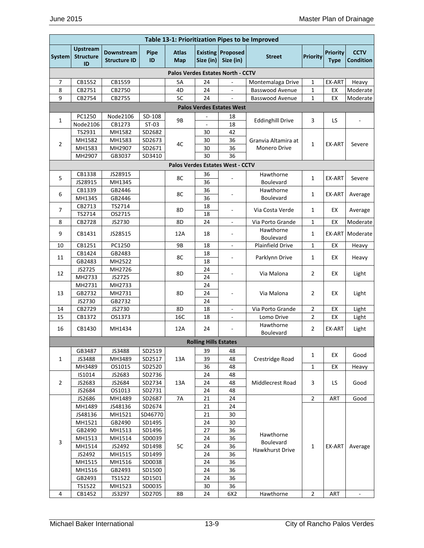|                | Table 13-1: Prioritization Pipes to be Improved |                                   |            |                     |                              |                                         |                         |                 |                                |                                 |
|----------------|-------------------------------------------------|-----------------------------------|------------|---------------------|------------------------------|-----------------------------------------|-------------------------|-----------------|--------------------------------|---------------------------------|
| System         | <b>Upstream</b><br><b>Structure</b><br>ID       | Downstream<br><b>Structure ID</b> | Pipe<br>ID | <b>Atlas</b><br>Map | Size (in)                    | <b>Existing Proposed</b><br>Size (in)   | <b>Street</b>           | <b>Priority</b> | <b>Priority</b><br><b>Type</b> | <b>CCTV</b><br><b>Condition</b> |
|                |                                                 |                                   |            |                     |                              | Palos Verdes Estates North - CCTV       |                         |                 |                                |                                 |
| 7              | CB1552                                          | CB1559                            |            | 5A                  | 24                           | $\overline{\phantom{a}}$                | Montemalaga Drive       | 1               | EX-ART                         | Heavy                           |
| 8              | CB2751                                          | CB2750                            |            | 4D                  | 24                           | $\overline{\phantom{a}}$                | <b>Basswood Avenue</b>  | 1               | EX                             | Moderate                        |
| 9              | CB2754                                          | CB2755                            |            | 5C                  | 24                           |                                         | <b>Basswood Avenue</b>  | 1               | EX                             | Moderate                        |
|                |                                                 |                                   |            |                     |                              | <b>Palos Verdes Estates West</b>        |                         |                 |                                |                                 |
| 1              | PC1250                                          | Node2106                          | SD-108     | 9B                  |                              | 18                                      | <b>Eddinghill Drive</b> | 3               | LS                             |                                 |
|                | Node2106                                        | CB1273                            | $ST-03$    |                     | $\overline{a}$               | 18                                      |                         |                 |                                |                                 |
|                | TS2931                                          | MH1582                            | SD2682     |                     | 30                           | 42                                      |                         |                 |                                |                                 |
| 2              | MH1582                                          | MH1583                            | SD2673     | 4C                  | 30                           | 36                                      | Granvia Altamira at     | 1               | EX-ART                         | Severe                          |
|                | MH1583                                          | MH2907                            | SD2671     |                     | 30                           | 36                                      | <b>Monero Drive</b>     |                 |                                |                                 |
|                | MH2907                                          | GB3037                            | SD3410     |                     | 30                           | 36                                      |                         |                 |                                |                                 |
|                |                                                 |                                   |            |                     |                              | <b>Palos Verdes Estates West - CCTV</b> |                         |                 |                                |                                 |
| 5              | CB1338                                          | JS28915                           |            | 8C                  | 36                           |                                         | Hawthorne               | 1               | EX-ART                         | Severe                          |
|                | JS28915                                         | MH1345                            |            |                     | 36                           |                                         | <b>Boulevard</b>        |                 |                                |                                 |
| 6              | CB1339                                          | GB2446                            |            | 8C                  | 36                           |                                         | Hawthorne               | 1               | EX-ART                         | Average                         |
|                | MH1345                                          | GB2446                            |            |                     | 36                           |                                         | <b>Boulevard</b>        |                 |                                |                                 |
| $\overline{7}$ | CB2713                                          | TS2714                            |            | 8D                  | 18                           |                                         | Via Costa Verde         | 1               | EX                             | Average                         |
|                | TS2714                                          | OS2715                            |            |                     | 18                           |                                         |                         |                 |                                |                                 |
| 8              | CB2728                                          | JS2730                            |            | 8D                  | 24                           | ä,                                      | Via Porto Grande        | 1               | EX                             | Moderate                        |
| 9              | CB1431                                          | JS28515                           |            | 12A                 | 18                           | $\overline{\phantom{a}}$                | Hawthorne<br>Boulevard  | 1               | EX-ART                         | Moderate                        |
| 10             | CB1251                                          | PC1250                            |            | 9B                  | 18                           |                                         | <b>Plainfield Drive</b> | 1               | EX                             | Heavy                           |
| 11             | CB1424                                          | GB2483                            |            | 8C                  | 18                           | $\overline{\phantom{a}}$                | Parklynn Drive          | 1               | EX                             | Heavy                           |
|                | GB2483                                          | MH2522                            |            |                     | 18                           |                                         |                         |                 |                                |                                 |
| 12             | JS2725                                          | MH2726                            |            | 8D                  | 24                           | ä,                                      | Via Malona              | 2               | EX                             | Light                           |
|                | MH2733                                          | JS2725                            |            |                     | 24                           |                                         |                         |                 |                                |                                 |
|                | MH2731<br>GB2732                                | MH2733<br>MH2731                  |            |                     | 24                           |                                         | Via Malona              |                 |                                |                                 |
| 13             | JS2730                                          | GB2732                            |            | 8D                  | 24<br>24                     |                                         |                         | 2               | EХ                             | Light                           |
| 14             | CB2729                                          | JS2730                            |            | 8D                  | 18                           | $\mathbf{r}$                            | Via Porto Grande        | 2               | EX                             | Light                           |
| 15             | CB1372                                          | OS1373                            |            | 16C                 | 18                           |                                         | Lomo Drive              | 2               | EX                             | Light                           |
|                |                                                 |                                   |            |                     |                              |                                         | Hawthorne               |                 |                                |                                 |
| 16             | CB1430                                          | MH1434                            |            | 12A                 | 24                           | $\overline{\phantom{a}}$                | Boulevard               | $\overline{2}$  | EX-ART                         | Light                           |
|                |                                                 |                                   |            |                     | <b>Rolling Hills Estates</b> |                                         |                         |                 |                                |                                 |
|                | GB3487                                          | JS3488                            | SD2519     |                     | 39                           | 48                                      |                         |                 |                                |                                 |
| 1              | JS3488                                          | MH3489                            | SD2517     | 13A                 | 39                           | 48                                      | Crestridge Road         | 1               | EX                             | Good                            |
|                | MH3489                                          | OS1015                            | SD2520     |                     | 36                           | 48                                      |                         | 1               | EX                             | Heavy                           |
|                | IS1014                                          | JS2683                            | SD2736     |                     | 24                           | 48                                      |                         |                 |                                |                                 |
| $\overline{2}$ | JS2683                                          | JS2684                            | SD2734     | 13A                 | 24                           | 48                                      | Middlecrest Road        | 3               | LS.                            | Good                            |
|                | JS2684                                          | OS1013                            | SD2731     |                     | 24                           | 48                                      |                         |                 |                                |                                 |
|                | JS2686                                          | MH1489                            | SD2687     | <b>7A</b>           | 21                           | 24                                      |                         | $\overline{2}$  | ART                            | Good                            |
|                | MH1489                                          | JS48136                           | SD2674     |                     | 21                           | 24                                      |                         |                 |                                |                                 |
|                | JS48136                                         | MH1521                            | SD46770    |                     | 21                           | 30                                      |                         |                 |                                |                                 |
|                | MH1521                                          | GB2490                            | SD1495     |                     | 24                           | 30                                      |                         |                 |                                |                                 |
|                | GB2490                                          | MH1513                            | SD1496     |                     | 27                           | 36                                      | Hawthorne               |                 |                                |                                 |
| 3              | MH1513                                          | MH1514                            | SD0039     |                     | 24                           | 36                                      | Boulevard               |                 |                                |                                 |
|                | MH1514                                          | JS2492                            | SD1498     | 5C                  | 24                           | 36                                      | Hawkhurst Drive         | 1               | EX-ART                         | Average                         |
|                | JS2492                                          | MH1515                            | SD1499     |                     | 24                           | 36                                      |                         |                 |                                |                                 |
|                | MH1515                                          | MH1516                            | SD0038     |                     | 24                           | 36                                      |                         |                 |                                |                                 |
|                | MH1516                                          | GB2493                            | SD1500     |                     | 24                           | 36                                      |                         |                 |                                |                                 |
|                | GB2493                                          | TS1522                            | SD1501     |                     | 24                           | 36                                      |                         |                 |                                |                                 |
|                | TS1522                                          | MH1523                            | SD0035     |                     | 30                           | 36                                      |                         |                 |                                |                                 |
| 4              | CB1452                                          | JS3297                            | SD2705     | $8\mathsf{B}$       | 24                           | 6X2                                     | Hawthorne               | $\mathbf 2$     | ART                            | $\Box$                          |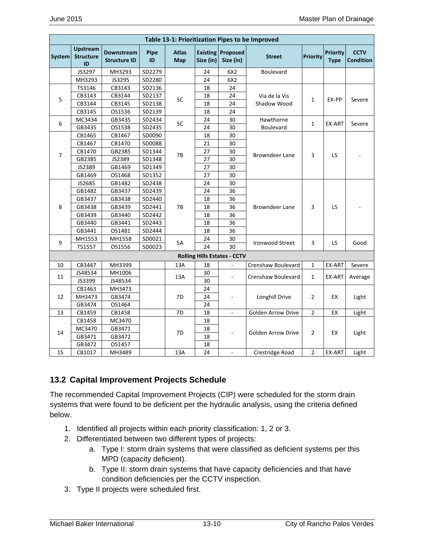|                |                                           |                                   |            |                     |           |                                       | Table 13-1: Prioritization Pipes to be Improved |                 |                                |                                 |
|----------------|-------------------------------------------|-----------------------------------|------------|---------------------|-----------|---------------------------------------|-------------------------------------------------|-----------------|--------------------------------|---------------------------------|
| <b>System</b>  | <b>Upstream</b><br><b>Structure</b><br>ID | Downstream<br><b>Structure ID</b> | Pipe<br>ID | <b>Atlas</b><br>Map | Size (in) | <b>Existing Proposed</b><br>Size (in) | <b>Street</b>                                   | <b>Priority</b> | <b>Priority</b><br><b>Type</b> | <b>CCTV</b><br><b>Condition</b> |
|                | JS3297                                    | MH3293                            | SD2279     |                     | 24        | 6X2                                   | Boulevard                                       |                 |                                |                                 |
|                | MH3293                                    | JS3295                            | SD2280     |                     | 24        | 6X2                                   |                                                 |                 |                                |                                 |
|                | TS3146                                    | CB3143                            | SD2136     |                     | 18        | 24                                    |                                                 |                 |                                |                                 |
| 5              | CB3143                                    | CB3144                            | SD2137     | 5C                  | 18        | 24                                    | Via de la Vis                                   | 1               | EX-PP                          | Severe                          |
|                | CB3144                                    | CB3145                            | SD2138     |                     | 18        | 24                                    | Shadow Wood                                     |                 |                                |                                 |
|                | CB3145                                    | OS1536                            | SD2139     |                     | 18        | 24                                    |                                                 |                 |                                |                                 |
| 6              | MC3434                                    | GB3435                            | SD2434     | 5C                  | 24        | 30                                    | Hawthorne                                       | $\mathbf{1}$    | EX-ART                         |                                 |
|                | GB3435                                    | OS1538                            | SD2435     |                     | 24        | 30                                    | Boulevard                                       |                 |                                | Severe                          |
|                | CB1465                                    | CB1467                            | SD0090     |                     | 18        | 30                                    |                                                 |                 |                                |                                 |
|                | CB1467                                    | CB1470                            | SD0088     |                     | 21        | 30                                    |                                                 |                 |                                |                                 |
|                | CB1470                                    | GB2385                            | SD1344     |                     | 27        | 30                                    |                                                 |                 |                                |                                 |
| $\overline{7}$ | GB2385                                    | JS2389                            | SD1348     | 7B                  | 27        | 30                                    | <b>Browndeer Lane</b>                           | 3               | LS.                            |                                 |
|                | JS2389                                    | GB1469                            | SD1349     |                     | 27        | 30                                    |                                                 |                 |                                |                                 |
|                | GB1469                                    | OS1468                            | SD1352     |                     | 27        | 30                                    |                                                 |                 |                                |                                 |
|                | JS2685                                    | GB1482                            | SD2438     |                     | 24        | 30                                    |                                                 |                 |                                |                                 |
|                | GB1482                                    | GB3437                            | SD2439     |                     | 24        | 36                                    |                                                 |                 |                                |                                 |
|                | GB3437                                    | GB3438                            | SD2440     |                     | 18        | 36                                    |                                                 |                 |                                |                                 |
| 8              | GB3438                                    | GB3439                            | SD2441     | <b>7B</b>           | 18        | 36                                    | <b>Browndeer Lane</b>                           | 3               | LS.                            |                                 |
|                | GB3439                                    | GB3440                            | SD2442     |                     | 18        | 36                                    |                                                 |                 |                                |                                 |
|                | GB3440                                    | GB3441                            | SD2443     |                     | 18        | 36                                    |                                                 |                 |                                |                                 |
|                | GB3441                                    | OS1481                            | SD2444     |                     | 18        | 36                                    |                                                 |                 |                                |                                 |
|                | MH1553                                    | MH1558                            | SD0021     |                     | 24        | 30                                    |                                                 |                 |                                |                                 |
| 9              | TS1557                                    | OS1556                            | SD0023     | 5A                  | 24        | 30                                    | <b>Ironwood Street</b>                          | 3               | LS                             | Good                            |
|                |                                           |                                   |            |                     |           | <b>Rolling Hills Estates - CCTV</b>   |                                                 |                 |                                |                                 |
| 10             | CB3447                                    | MH3399                            |            | 13A                 | 18        | ä,                                    | Crenshaw Boulevard                              | $\mathbf{1}$    | EX-ART                         | Severe                          |
|                | JS48534                                   | MH1006                            |            |                     | 30        |                                       |                                                 |                 |                                |                                 |
| 11             | JS3399                                    | JS48534                           |            | 13A                 | 30        |                                       | Crenshaw Boulevard                              | 1               | EX-ART                         | Average                         |
|                | CB1463                                    | MH3473                            |            |                     | 24        |                                       |                                                 |                 |                                |                                 |
| 12             | MH3473                                    | GB3474                            |            | 7D                  | 24        |                                       | Longhill Drive                                  | $\overline{2}$  | EX                             | Light                           |
|                | GB3474                                    | OS1464                            |            |                     | 24        |                                       |                                                 |                 |                                |                                 |
| 13             | CB1459                                    | CB1458                            |            | 7D                  | 18        | L.                                    | <b>Golden Arrow Drive</b>                       | $\overline{2}$  | EX                             | Light                           |
|                | CB1458                                    | MC3470                            |            |                     | 18        |                                       |                                                 |                 |                                |                                 |
|                | MC3470                                    | GB3471                            |            |                     | 18        |                                       |                                                 |                 |                                |                                 |
| 14             | GB3471                                    | GB3472                            |            | 7D                  | 18        | ÷,                                    | <b>Golden Arrow Drive</b>                       | $\overline{2}$  | EX                             | Light                           |
|                | GB3472                                    | OS1457                            |            |                     | 18        |                                       |                                                 |                 |                                |                                 |
| 15             | CB1017                                    | MH3489                            |            | 13A                 | 24        | $\overline{\phantom{a}}$              | Crestridge Road                                 | $\overline{2}$  | EX-ART                         | Light                           |

## **13.2 Capital Improvement Projects Schedule**

The recommended Capital Improvement Projects (CIP) were scheduled for the storm drain systems that were found to be deficient per the hydraulic analysis, using the criteria defined below.

- 1. Identified all projects within each priority classification: 1, 2 or 3.
- 2. Differentiated between two different types of projects:
	- a. Type I: storm drain systems that were classified as deficient systems per this MPD (capacity deficient).
	- b. Type II: storm drain systems that have capacity deficiencies and that have condition deficiencies per the CCTV inspection.
- 3. Type II projects were scheduled first.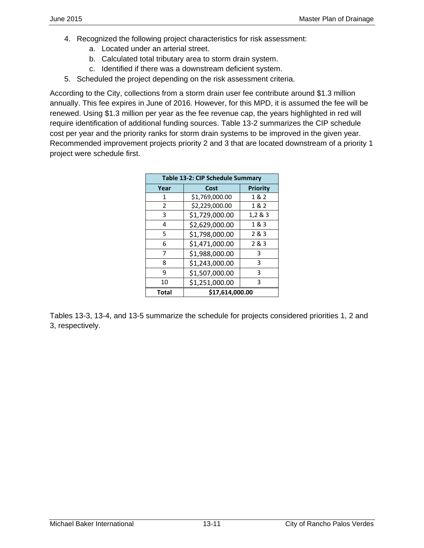- 4. Recognized the following project characteristics for risk assessment:
	- a. Located under an arterial street.
	- b. Calculated total tributary area to storm drain system.
	- c. Identified if there was a downstream deficient system.
- 5. Scheduled the project depending on the risk assessment criteria.

According to the City, collections from a storm drain user fee contribute around \$1.3 million annually. This fee expires in June of 2016. However, for this MPD, it is assumed the fee will be renewed. Using \$1.3 million per year as the fee revenue cap, the years highlighted in red will require identification of additional funding sources. Table 13-2 summarizes the CIP schedule cost per year and the priority ranks for storm drain systems to be improved in the given year. Recommended improvement projects priority 2 and 3 that are located downstream of a priority 1 project were schedule first.

|                | Table 13-2: CIP Schedule Summary |          |
|----------------|----------------------------------|----------|
| Year           | Cost                             | Priority |
| 1              | \$1,769,000.00                   | 1 & 2    |
| $\overline{2}$ | \$2,229,000.00                   | 1&2      |
| 3              | \$1,729,000.00                   | 1,2 & 3  |
| 4              | \$2,629,000.00                   | 1 & 3    |
| 5              | \$1,798,000.00                   | 2 & 3    |
| 6              | \$1,471,000.00                   | 2&3      |
| 7              | \$1,988,000.00                   | 3        |
| 8              | \$1,243,000.00                   | 3        |
| ٩              | \$1,507,000.00                   | 3        |
| 10             | \$1,251,000.00                   | 3        |
| <b>Total</b>   | \$17,614,000.00                  |          |

Tables 13-3, 13-4, and 13-5 summarize the schedule for projects considered priorities 1, 2 and 3, respectively.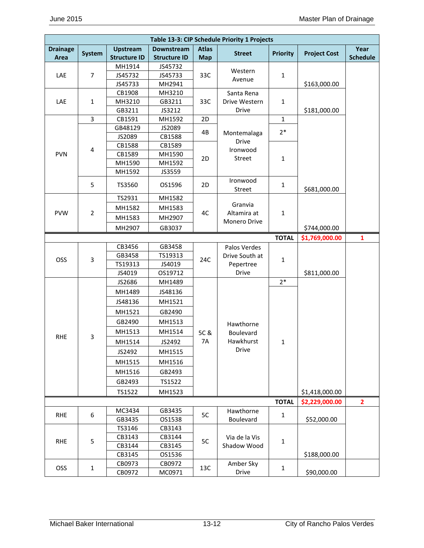|                 |                |                     |                     |              | Table 13-3: CIP Schedule Priority 1 Projects |                 |                     |                 |
|-----------------|----------------|---------------------|---------------------|--------------|----------------------------------------------|-----------------|---------------------|-----------------|
| <b>Drainage</b> | <b>System</b>  | <b>Upstream</b>     | Downstream          | <b>Atlas</b> | <b>Street</b>                                | <b>Priority</b> | <b>Project Cost</b> | Year            |
| Area            |                | <b>Structure ID</b> | <b>Structure ID</b> | <b>Map</b>   |                                              |                 |                     | <b>Schedule</b> |
|                 |                | MH1914              | JS45732             |              | Western                                      |                 |                     |                 |
| LAE             | $\overline{7}$ | JS45732             | JS45733             | 33C          | Avenue                                       | $\mathbf{1}$    |                     |                 |
|                 |                | JS45733             | MH2941              |              |                                              |                 | \$163,000.00        |                 |
|                 |                | CB1908              | MH3210              |              | Santa Rena                                   |                 |                     |                 |
| LAE             | $\mathbf{1}$   | MH3210              | GB3211              | 33C          | Drive Western                                | $\mathbf{1}$    |                     |                 |
|                 |                | GB3211              | JS3212              |              | Drive                                        |                 | \$181,000.00        |                 |
|                 | $\mathbf{3}$   | CB1591              | MH1592              | 2D           |                                              | $\mathbf{1}$    |                     |                 |
|                 |                | GB48129             | JS2089              | 4B           | Montemalaga                                  | $2*$            |                     |                 |
|                 |                | JS2089              | CB1588              |              | Drive                                        |                 |                     |                 |
|                 | $\overline{4}$ | CB1588              | CB1589              |              | Ironwood                                     |                 |                     |                 |
| <b>PVN</b>      |                | CB1589              | MH1590              | 2D           | Street                                       | $\mathbf{1}$    |                     |                 |
|                 |                | MH1590              | MH1592              |              |                                              |                 |                     |                 |
|                 |                | MH1592              | JS3559              |              |                                              |                 |                     |                 |
|                 | 5              | TS3560              | OS1596              | 2D           | Ironwood<br>Street                           | $\mathbf{1}$    | \$681,000.00        |                 |
|                 |                | TS2931              | MH1582              |              |                                              |                 |                     |                 |
|                 |                | MH1582              | MH1583              |              | Granvia                                      |                 |                     |                 |
| <b>PVW</b>      | $\overline{2}$ | MH1583              | MH2907              | 4C           | Altamira at                                  | $\mathbf 1$     |                     |                 |
|                 |                | MH2907              | GB3037              |              | Monero Drive                                 |                 | \$744,000.00        |                 |
|                 |                |                     |                     |              |                                              | <b>TOTAL</b>    | \$1,769,000.00      | 1               |
|                 |                | CB3456              | GB3458              |              | Palos Verdes                                 |                 |                     |                 |
|                 |                | GB3458              | TS19313             |              | Drive South at                               |                 |                     |                 |
| OSS             | 3              | TS19313             | JS4019              | 24C          | Pepertree                                    | $\mathbf 1$     |                     |                 |
|                 |                | JS4019              | OS19712             |              | Drive                                        |                 | \$811,000.00        |                 |
|                 |                | JS2686              | MH1489              |              |                                              | $2*$            |                     |                 |
|                 |                | MH1489              | JS48136             |              |                                              |                 |                     |                 |
|                 |                | JS48136             | MH1521              |              |                                              |                 |                     |                 |
|                 |                | MH1521              | GB2490              |              |                                              |                 |                     |                 |
|                 |                | GB2490              | MH1513              |              | Hawthorne                                    |                 |                     |                 |
|                 |                | MH1513              | MH1514              | 5C &         | Boulevard                                    |                 |                     |                 |
| <b>RHE</b>      | 3              | MH1514              | JS2492              | <b>7A</b>    | Hawkhurst                                    | 1               |                     |                 |
|                 |                | JS2492              | MH1515              |              | Drive                                        |                 |                     |                 |
|                 |                | MH1515              | MH1516              |              |                                              |                 |                     |                 |
|                 |                | MH1516              | GB2493              |              |                                              |                 |                     |                 |
|                 |                | GB2493              | TS1522              |              |                                              |                 |                     |                 |
|                 |                | TS1522              | MH1523              |              |                                              |                 | \$1,418,000.00      |                 |
|                 |                |                     |                     |              |                                              | <b>TOTAL</b>    | \$2,229,000.00      | $\overline{2}$  |
| <b>RHE</b>      | 6              | MC3434              | GB3435              | 5C           | Hawthorne                                    | $\mathbf{1}$    |                     |                 |
|                 |                | GB3435              | OS1538              |              | Boulevard                                    |                 | \$52,000.00         |                 |
|                 |                | TS3146              | CB3143              |              |                                              |                 |                     |                 |
| <b>RHE</b>      | 5              | CB3143              | CB3144              | 5C           | Via de la Vis                                | $\mathbf 1$     |                     |                 |
|                 |                | CB3144              | CB3145              |              | Shadow Wood                                  |                 |                     |                 |
|                 |                | CB3145              | OS1536              |              |                                              |                 | \$188,000.00        |                 |
| OSS             | $\mathbf{1}$   | CB0973              | CB0972              | 13C          | Amber Sky                                    | $\mathbf{1}$    |                     |                 |
|                 |                | CB0972              | MC0971              |              | Drive                                        |                 | \$90,000.00         |                 |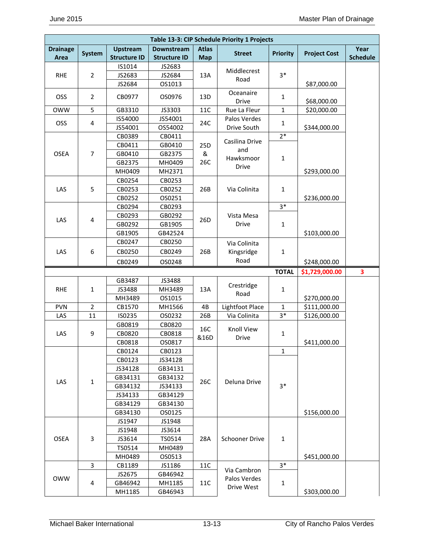|                         |                         |                                        |                                          |                            | Table 13-3: CIP Schedule Priority 1 Projects |                 |                     |                         |
|-------------------------|-------------------------|----------------------------------------|------------------------------------------|----------------------------|----------------------------------------------|-----------------|---------------------|-------------------------|
| <b>Drainage</b><br>Area | <b>System</b>           | <b>Upstream</b><br><b>Structure ID</b> | <b>Downstream</b><br><b>Structure ID</b> | <b>Atlas</b><br><b>Map</b> | <b>Street</b>                                | <b>Priority</b> | <b>Project Cost</b> | Year<br><b>Schedule</b> |
|                         |                         | IS1014                                 | JS2683                                   |                            |                                              |                 |                     |                         |
| <b>RHE</b>              | $\overline{2}$          | JS2683                                 | JS2684                                   | 13A                        | Middlecrest                                  | $3*$            |                     |                         |
|                         |                         | JS2684                                 | OS1013                                   |                            | Road                                         |                 | \$87,000.00         |                         |
| OSS                     | $\overline{2}$          | CB0977                                 | OS0976                                   | 13D                        | Oceanaire                                    |                 |                     |                         |
|                         |                         |                                        |                                          |                            | Drive                                        | 1               | \$68,000.00         |                         |
| <b>OWW</b>              | 5                       | GB3310                                 | JS3303                                   | $11C$                      | Rue La Fleur                                 | $\mathbf{1}$    | \$20,000.00         |                         |
| OSS                     | $\overline{\mathbf{4}}$ | IS54000                                | JS54001                                  | 24C                        | Palos Verdes                                 | $\mathbf{1}$    |                     |                         |
|                         |                         | JS54001                                | OS54002                                  |                            | Drive South                                  |                 | \$344,000.00        |                         |
|                         |                         | CB0389                                 | CB0411                                   |                            | Casilina Drive                               | $2*$            |                     |                         |
|                         |                         | CB0411                                 | GB0410                                   | 25D                        | and                                          |                 |                     |                         |
| <b>OSEA</b>             | $\overline{7}$          | GB0410                                 | GB2375                                   | &                          | Hawksmoor                                    | $\mathbf{1}$    |                     |                         |
|                         |                         | GB2375                                 | MH0409                                   | 26C                        | Drive                                        |                 |                     |                         |
|                         |                         | MH0409                                 | MH2371                                   |                            |                                              |                 | \$293,000.00        |                         |
|                         |                         | CB0254                                 | CB0253                                   |                            |                                              |                 |                     |                         |
| LAS                     | 5                       | CB0253                                 | CB0252                                   | 26B                        | Via Colinita                                 | $\mathbf{1}$    |                     |                         |
|                         |                         | CB0252                                 | OS0251                                   |                            |                                              |                 | \$236,000.00        |                         |
|                         |                         | CB0294                                 | CB0293                                   |                            |                                              | $3*$            |                     |                         |
| LAS                     | 4                       | CB0293                                 | GB0292                                   | 26 <sub>D</sub>            | Vista Mesa                                   |                 |                     |                         |
|                         |                         | GB0292                                 | GB1905                                   |                            | Drive                                        | $\mathbf 1$     |                     |                         |
|                         |                         | GB1905                                 | GB42524                                  |                            |                                              |                 | \$103,000.00        |                         |
|                         |                         | CB0247                                 | CB0250                                   |                            | Via Colinita                                 |                 |                     |                         |
| LAS                     | 6                       | CB0250                                 | CB0249                                   | 26B                        | Kingsridge                                   | $\mathbf{1}$    |                     |                         |
|                         |                         | CB0249                                 | OS0248                                   |                            | Road                                         |                 | \$248,000.00        |                         |
|                         |                         |                                        |                                          |                            |                                              |                 |                     |                         |
|                         |                         |                                        |                                          |                            |                                              | <b>TOTAL</b>    | \$1,729,000.00      | 3                       |
|                         |                         | GB3487                                 | JS3488                                   |                            |                                              |                 |                     |                         |
| <b>RHE</b>              | $\mathbf{1}$            | JS3488                                 | MH3489                                   | 13A                        | Crestridge                                   | $\mathbf{1}$    |                     |                         |
|                         |                         | MH3489                                 | OS1015                                   |                            | Road                                         |                 | \$270,000.00        |                         |
| <b>PVN</b>              | $\overline{2}$          | CB1570                                 | MH1566                                   | 4B                         | Lightfoot Place                              | $\mathbf{1}$    | \$111,000.00        |                         |
| LAS                     | 11                      | IS0235                                 | OS0232                                   | 26B                        | Via Colinita                                 | $3*$            | \$126,000.00        |                         |
|                         |                         | GB0819                                 | CB0820                                   |                            |                                              |                 |                     |                         |
| LAS                     | 9                       | CB0820                                 | CB0818                                   | 16C                        | <b>Knoll View</b>                            | 1               |                     |                         |
|                         |                         | CB0818                                 | OS0817                                   | &16D                       | <b>Drive</b>                                 |                 | \$411,000.00        |                         |
|                         |                         | CB0124                                 | CB0123                                   |                            |                                              | 1               |                     |                         |
|                         |                         | CB0123                                 | JS34128                                  |                            |                                              |                 |                     |                         |
|                         |                         | JS34128                                | GB34131                                  |                            |                                              |                 |                     |                         |
|                         |                         | GB34131                                | GB34132                                  |                            |                                              |                 |                     |                         |
| LAS                     | $\mathbf{1}$            | GB34132                                | JS34133                                  | 26C                        | Deluna Drive                                 | $3*$            |                     |                         |
|                         |                         | JS34133                                | GB34129                                  |                            |                                              |                 |                     |                         |
|                         |                         | GB34129                                | GB34130                                  |                            |                                              |                 |                     |                         |
|                         |                         | GB34130                                | OS0125                                   |                            |                                              |                 | \$156,000.00        |                         |
|                         |                         | JS1947                                 | JS1948                                   |                            |                                              |                 |                     |                         |
|                         |                         | JS1948                                 | JS3614                                   |                            |                                              |                 |                     |                         |
| <b>OSEA</b>             | 3                       | JS3614                                 | TS0514                                   | 28A                        | <b>Schooner Drive</b>                        | $\mathbf{1}$    |                     |                         |
|                         |                         | TS0514                                 | MH0489                                   |                            |                                              |                 |                     |                         |
|                         |                         | MH0489                                 | OS0513                                   |                            |                                              |                 | \$451,000.00        |                         |
|                         | 3                       | CB1189                                 | JS1186                                   | 11C                        |                                              | $3*$            |                     |                         |
|                         |                         | JS2675                                 | GB46942                                  |                            | Via Cambron                                  |                 |                     |                         |
| <b>OWW</b>              | 4                       | GB46942                                | MH1185                                   | 11C                        | Palos Verdes<br>Drive West                   | 1               |                     |                         |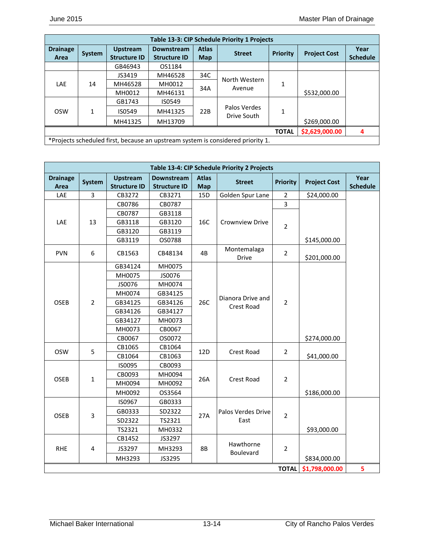| Table 13-3: CIP Schedule Priority 1 Projects |                                                                                 |                                        |                                          |                            |                             |                 |                     |                         |  |  |
|----------------------------------------------|---------------------------------------------------------------------------------|----------------------------------------|------------------------------------------|----------------------------|-----------------------------|-----------------|---------------------|-------------------------|--|--|
| <b>Drainage</b><br>Area                      | System                                                                          | <b>Upstream</b><br><b>Structure ID</b> | <b>Downstream</b><br><b>Structure ID</b> | <b>Atlas</b><br><b>Map</b> | <b>Street</b>               | <b>Priority</b> | <b>Project Cost</b> | Year<br><b>Schedule</b> |  |  |
|                                              |                                                                                 | GB46943                                | OS1184                                   |                            |                             |                 |                     |                         |  |  |
|                                              |                                                                                 | JS3419                                 | MH46528                                  | 34C                        | North Western               |                 |                     |                         |  |  |
| <b>LAE</b>                                   | 14                                                                              | MH46528                                | MH0012                                   | 34A                        | Avenue                      | 1               |                     |                         |  |  |
|                                              |                                                                                 | MH0012                                 | MH46131                                  |                            |                             |                 | \$532,000.00        |                         |  |  |
|                                              |                                                                                 | GB1743                                 | IS0549                                   |                            |                             |                 |                     |                         |  |  |
| <b>OSW</b>                                   | 1                                                                               | IS0549                                 | MH41325                                  | 22B                        | Palos Verdes<br>Drive South | 1               |                     |                         |  |  |
|                                              |                                                                                 | MH41325                                | MH13709                                  |                            |                             |                 | \$269,000.00        |                         |  |  |
| \$2,629,000.00<br><b>TOTAL</b><br>4          |                                                                                 |                                        |                                          |                            |                             |                 |                     |                         |  |  |
|                                              | *Projects scheduled first, because an upstream system is considered priority 1. |                                        |                                          |                            |                             |                 |                     |                         |  |  |

| Table 13-4: CIP Schedule Priority 2 Projects |                |                                        |                                   |                            |                      |                 |                     |                         |  |  |
|----------------------------------------------|----------------|----------------------------------------|-----------------------------------|----------------------------|----------------------|-----------------|---------------------|-------------------------|--|--|
| <b>Drainage</b><br>Area                      | System         | <b>Upstream</b><br><b>Structure ID</b> | Downstream<br><b>Structure ID</b> | <b>Atlas</b><br><b>Map</b> | <b>Street</b>        | <b>Priority</b> | <b>Project Cost</b> | Year<br><b>Schedule</b> |  |  |
| LAE                                          | 3              | CB3272                                 | CB3271                            | 15D                        | Golden Spur Lane     | $\overline{2}$  | \$24,000.00         |                         |  |  |
|                                              |                | CB0786                                 | CB0787                            |                            |                      | 3               |                     |                         |  |  |
|                                              |                | CB0787                                 | GB3118                            |                            |                      |                 |                     |                         |  |  |
| LAE                                          | 13             | GB3118                                 | GB3120                            | 16C                        | Crownview Drive      | $\overline{2}$  |                     |                         |  |  |
|                                              |                | GB3120                                 | GB3119                            |                            |                      |                 |                     |                         |  |  |
|                                              |                | GB3119                                 | OS0788                            |                            |                      |                 | \$145,000.00        |                         |  |  |
| <b>PVN</b>                                   | 6              | CB1563                                 | CB48134                           | 4B                         | Montemalaga<br>Drive | $\overline{2}$  | \$201,000.00        |                         |  |  |
|                                              |                | GB34124                                | MH0075                            |                            |                      |                 |                     |                         |  |  |
|                                              |                | MH0075                                 | JS0076                            |                            |                      |                 |                     |                         |  |  |
|                                              |                | JS0076                                 | MH0074                            |                            | Dianora Drive and    |                 |                     |                         |  |  |
|                                              |                | MH0074                                 | GB34125                           |                            |                      |                 |                     |                         |  |  |
| OSEB                                         | $\overline{2}$ | GB34125                                | GB34126                           | 26C                        | <b>Crest Road</b>    | $\overline{2}$  |                     |                         |  |  |
|                                              |                | GB34126                                | GB34127                           |                            |                      |                 |                     |                         |  |  |
|                                              |                | GB34127                                | MH0073                            |                            |                      |                 |                     |                         |  |  |
|                                              |                | MH0073                                 | CB0067                            |                            |                      |                 |                     |                         |  |  |
|                                              |                | CB0067                                 | OS0072                            |                            |                      |                 | \$274,000.00        |                         |  |  |
| <b>OSW</b>                                   | 5              | CB1065                                 | CB1064                            | 12D                        | Crest Road           | $\overline{2}$  |                     |                         |  |  |
|                                              |                | CB1064                                 | CB1063                            |                            |                      |                 | \$41,000.00         |                         |  |  |
|                                              |                | IS0095                                 | CB0093                            |                            |                      |                 |                     |                         |  |  |
| OSEB                                         | $\mathbf{1}$   | CB0093                                 | MH0094                            | 26A                        | <b>Crest Road</b>    | $\overline{2}$  |                     |                         |  |  |
|                                              |                | MH0094                                 | MH0092                            |                            |                      |                 |                     |                         |  |  |
|                                              |                | MH0092                                 | OS3564                            |                            |                      |                 | \$186,000.00        |                         |  |  |
|                                              |                | IS0967                                 | GB0333                            |                            |                      |                 |                     |                         |  |  |
| OSEB                                         | 3              | GB0333                                 | SD2322                            | 27A                        | Palos Verdes Drive   | $\overline{2}$  |                     |                         |  |  |
|                                              |                | SD2322                                 | TS2321                            |                            | East                 |                 |                     |                         |  |  |
|                                              |                | TS2321                                 | MH0332                            |                            |                      |                 | \$93,000.00         |                         |  |  |
|                                              |                | CB1452                                 | JS3297                            |                            |                      |                 |                     |                         |  |  |
| <b>RHE</b>                                   | 4              | JS3297                                 | MH3293                            | 8B                         | Hawthorne            | $\overline{2}$  |                     |                         |  |  |
|                                              |                | MH3293                                 | JS3295                            |                            | Boulevard            |                 | \$834,000.00        |                         |  |  |
|                                              |                |                                        |                                   |                            |                      | <b>TOTAL</b>    | \$1,798,000.00      | 5                       |  |  |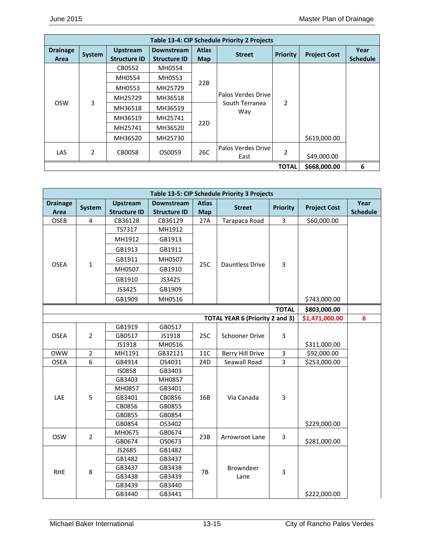| Table 13-4: CIP Schedule Priority 2 Projects |                |                                        |                                          |                            |                                             |                 |                     |                         |  |  |  |
|----------------------------------------------|----------------|----------------------------------------|------------------------------------------|----------------------------|---------------------------------------------|-----------------|---------------------|-------------------------|--|--|--|
| <b>Drainage</b><br>Area                      | System         | <b>Upstream</b><br><b>Structure ID</b> | <b>Downstream</b><br><b>Structure ID</b> | <b>Atlas</b><br><b>Map</b> | <b>Street</b>                               | <b>Priority</b> | <b>Project Cost</b> | Year<br><b>Schedule</b> |  |  |  |
|                                              |                | CB0552                                 | MH0554                                   |                            |                                             |                 |                     |                         |  |  |  |
|                                              |                | MH0554                                 | MH0553                                   | 22B                        | Palos Verdes Drive<br>South Terranea<br>Way |                 |                     |                         |  |  |  |
|                                              | 3              | MH0553                                 | MH25729                                  |                            |                                             |                 |                     |                         |  |  |  |
|                                              |                | MH25729                                | MH36518                                  |                            |                                             |                 |                     |                         |  |  |  |
| <b>OSW</b>                                   |                | MH36518                                | MH36519                                  | 22D                        |                                             | $\overline{2}$  |                     |                         |  |  |  |
|                                              |                | MH36519                                | MH25741                                  |                            |                                             |                 |                     |                         |  |  |  |
|                                              |                | MH25741                                | MH36520                                  |                            |                                             |                 |                     |                         |  |  |  |
|                                              |                | MH36520                                | MH25730                                  |                            |                                             |                 | \$619,000.00        |                         |  |  |  |
| <b>LAS</b>                                   | $\overline{2}$ | CB0058                                 | OS0059                                   | 26C                        | Palos Verdes Drive<br>East                  | 2               | \$49,000.00         |                         |  |  |  |
|                                              |                | <b>TOTAL</b>                           | \$668,000.00                             | 6                          |                                             |                 |                     |                         |  |  |  |

| Table 13-5: CIP Schedule Priority 3 Projects |                |                                        |                                          |                            |                                        |                         |                     |                         |  |  |
|----------------------------------------------|----------------|----------------------------------------|------------------------------------------|----------------------------|----------------------------------------|-------------------------|---------------------|-------------------------|--|--|
| <b>Drainage</b><br>Area                      | <b>System</b>  | <b>Upstream</b><br><b>Structure ID</b> | <b>Downstream</b><br><b>Structure ID</b> | <b>Atlas</b><br><b>Map</b> | <b>Street</b>                          | <b>Priority</b>         | <b>Project Cost</b> | Year<br><b>Schedule</b> |  |  |
| OSEB                                         | 4              | CB36128                                | CB36129                                  | 27A                        | Tarapaca Road                          | 3                       | \$60,000.00         |                         |  |  |
|                                              |                | TS7317                                 | MH1912                                   |                            |                                        |                         |                     |                         |  |  |
|                                              |                | MH1912                                 | GB1913                                   |                            |                                        |                         |                     |                         |  |  |
|                                              |                | GB1913                                 | GB1911                                   |                            |                                        |                         |                     |                         |  |  |
|                                              |                | GB1911                                 | MH0507                                   |                            |                                        |                         |                     |                         |  |  |
| <b>OSEA</b>                                  | $\mathbf{1}$   | MH0507                                 | GB1910                                   | 25C                        | <b>Dauntless Drive</b>                 | $\overline{3}$          |                     |                         |  |  |
|                                              |                | GB1910                                 | JS3425                                   |                            |                                        |                         |                     |                         |  |  |
|                                              |                | JS3425                                 | GB1909                                   |                            |                                        |                         |                     |                         |  |  |
|                                              |                | GB1909                                 | MH0516                                   |                            |                                        |                         | \$743,000.00        |                         |  |  |
|                                              |                |                                        |                                          |                            |                                        | <b>TOTAL</b>            | \$803,000.00        |                         |  |  |
|                                              |                |                                        |                                          |                            | <b>TOTAL YEAR 6 (Priority 2 and 3)</b> |                         | \$1,471,000.00      | $6\phantom{a}$          |  |  |
|                                              |                | GB1919                                 | GB0517                                   |                            |                                        |                         |                     |                         |  |  |
| <b>OSEA</b>                                  | $\overline{2}$ | GB0517                                 | JS1918                                   | 25C                        | Schooner Drive                         | $\overline{3}$          |                     |                         |  |  |
|                                              |                | JS1918                                 | MH0516                                   |                            |                                        |                         | \$311,000.00        |                         |  |  |
| <b>OWW</b>                                   | $\overline{2}$ | MH1191                                 | GB32121                                  | 11C                        | <b>Berry Hill Drive</b>                | $\overline{\mathbf{3}}$ | \$92,000.00         |                         |  |  |
| <b>OSEA</b>                                  | 6              | GB4914                                 | OS4031                                   | 24D                        | Seawall Road                           | 3                       | \$253,000.00        |                         |  |  |
|                                              |                | <b>IS0858</b>                          | GB3403                                   |                            |                                        |                         |                     |                         |  |  |
|                                              |                | GB3403                                 | MH0857                                   |                            |                                        |                         |                     |                         |  |  |
|                                              |                | MH0857                                 | GB3401                                   |                            |                                        |                         |                     |                         |  |  |
| LAE                                          | 5              | GB3401                                 | CB0856                                   | 16B                        | Via Canada                             | 3                       |                     |                         |  |  |
|                                              |                | CB0856                                 | GB0855                                   |                            |                                        |                         |                     |                         |  |  |
|                                              |                | GB0855                                 | GB0854                                   |                            |                                        |                         |                     |                         |  |  |
|                                              |                | GB0854                                 | OS3402                                   |                            |                                        |                         | \$229,000.00        |                         |  |  |
| <b>OSW</b>                                   | $\overline{2}$ | MH0675                                 | GB0674                                   | 23B                        | Arrowroot Lane                         | 3                       |                     |                         |  |  |
|                                              |                | GB0674                                 | OS0673                                   |                            |                                        |                         | \$281,000.00        |                         |  |  |
|                                              |                | JS2685                                 | GB1482                                   |                            |                                        |                         |                     |                         |  |  |
|                                              |                | GB1482                                 | GB3437                                   |                            |                                        |                         |                     |                         |  |  |
|                                              |                | GB3437                                 | GB3438                                   |                            | Browndeer                              |                         |                     |                         |  |  |
| <b>RHE</b>                                   | 8              | GB3438                                 | GB3439                                   | <b>7B</b>                  | Lane                                   | $\overline{3}$          |                     |                         |  |  |
|                                              |                | GB3439                                 | GB3440                                   |                            |                                        |                         |                     |                         |  |  |
|                                              |                | GB3440                                 | GB3441                                   |                            |                                        |                         | \$222,000.00        |                         |  |  |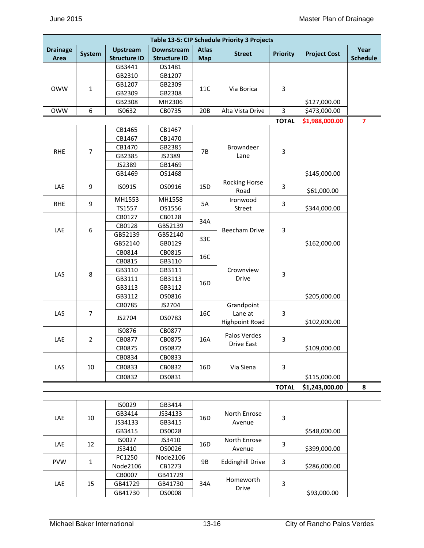| Table 13-5: CIP Schedule Priority 3 Projects |                |                     |                     |              |                       |                         |                     |                         |  |  |
|----------------------------------------------|----------------|---------------------|---------------------|--------------|-----------------------|-------------------------|---------------------|-------------------------|--|--|
| <b>Drainage</b>                              | <b>System</b>  | <b>Upstream</b>     | <b>Downstream</b>   | <b>Atlas</b> | <b>Street</b>         | <b>Priority</b>         | <b>Project Cost</b> | Year                    |  |  |
| Area                                         |                | <b>Structure ID</b> | <b>Structure ID</b> | <b>Map</b>   |                       |                         |                     | <b>Schedule</b>         |  |  |
|                                              |                | GB3441              | OS1481              |              |                       |                         |                     |                         |  |  |
|                                              |                | GB2310              | GB1207              |              |                       |                         |                     |                         |  |  |
| <b>OWW</b>                                   | $\mathbf{1}$   | GB1207              | GB2309              | 11C          | Via Borica            | $\overline{3}$          |                     |                         |  |  |
|                                              |                | GB2309              | GB2308              |              |                       |                         |                     |                         |  |  |
|                                              |                | GB2308              | MH2306              |              |                       |                         | \$127,000.00        |                         |  |  |
| <b>OWW</b>                                   | 6              | IS0632              | CB0735              | 20B          | Alta Vista Drive      | 3                       | \$473,000.00        |                         |  |  |
|                                              |                |                     |                     |              |                       | <b>TOTAL</b>            | \$1,988,000.00      | $\overline{\mathbf{z}}$ |  |  |
|                                              |                | CB1465              | CB1467              |              |                       |                         |                     |                         |  |  |
|                                              |                | CB1467              | CB1470              |              |                       |                         |                     |                         |  |  |
|                                              |                | CB1470              | GB2385              |              | Browndeer             |                         |                     |                         |  |  |
| <b>RHE</b>                                   | $\overline{7}$ | GB2385              | JS2389              | 7B           | Lane                  | 3                       |                     |                         |  |  |
|                                              |                | JS2389              | GB1469              |              |                       |                         |                     |                         |  |  |
|                                              |                | GB1469              | OS1468              |              |                       |                         | \$145,000.00        |                         |  |  |
|                                              | 9              |                     |                     |              | <b>Rocking Horse</b>  | $\overline{3}$          |                     |                         |  |  |
| LAE                                          |                | IS0915              | OS0916              | 15D          | Road                  |                         | \$61,000.00         |                         |  |  |
| <b>RHE</b>                                   | 9              | MH1553              | MH1558              | 5A           | Ironwood              | $\overline{\mathbf{3}}$ |                     |                         |  |  |
|                                              |                | TS1557              | OS1556              |              | Street                |                         | \$344,000.00        |                         |  |  |
|                                              | 6              | CB0127              | CB0128              |              |                       |                         |                     |                         |  |  |
|                                              |                | CB0128              | GB52139             | 34A          | <b>Beecham Drive</b>  | $\overline{3}$          |                     |                         |  |  |
| LAE                                          |                | GB52139             | GB52140             | 33C          |                       |                         |                     |                         |  |  |
|                                              |                | GB52140             | GB0129              |              |                       |                         | \$162,000.00        |                         |  |  |
|                                              |                | CB0814              | CB0815              |              |                       |                         |                     |                         |  |  |
|                                              |                | CB0815              | GB3110              | 16C          |                       |                         |                     |                         |  |  |
|                                              |                | GB3110              | GB3111              |              | Crownview             | $\overline{\mathbf{3}}$ |                     |                         |  |  |
| LAS                                          | 8              | GB3111              | GB3113              |              | Drive                 |                         |                     |                         |  |  |
|                                              |                | GB3113              | GB3112              | 16D          |                       |                         |                     |                         |  |  |
|                                              |                | GB3112              | OS0816              |              |                       |                         | \$205,000.00        |                         |  |  |
|                                              |                | CB0785              | JS2704              |              | Grandpoint            |                         |                     |                         |  |  |
| LAS                                          | 7              | JS2704              | OS0783              | 16C          | Lane at               | $\overline{3}$          |                     |                         |  |  |
|                                              |                |                     |                     |              | <b>Highpoint Road</b> |                         | \$102,000.00        |                         |  |  |
|                                              |                | <b>IS0876</b>       | CB0877              |              | Palos Verdes          |                         |                     |                         |  |  |
| LAE                                          | $\overline{2}$ | CB0877              | CB0875              | 16A          | Drive East            | $\overline{3}$          |                     |                         |  |  |
|                                              |                | CB0875              | OS0872              |              |                       |                         | \$109,000.00        |                         |  |  |
|                                              |                | CB0834              | CB0833              |              |                       |                         |                     |                         |  |  |
| LAS                                          | 10             | CB0833              | CB0832              | 16D          | Via Siena             | $\overline{\mathbf{3}}$ |                     |                         |  |  |
|                                              |                | CB0832              | OS0831              |              |                       |                         | \$115,000.00        |                         |  |  |
|                                              |                |                     |                     |              |                       | <b>TOTAL</b>            | \$1,243,000.00      | 8                       |  |  |

|            |    | IS0029   | GB3414   |     |                         |   |              |
|------------|----|----------|----------|-----|-------------------------|---|--------------|
| <b>LAE</b> | 10 | GB3414   | JS34133  | 16D | North Enrose            | 3 |              |
|            |    | JS34133  | GB3415   |     | Avenue                  |   |              |
|            |    | GB3415   | OS0028   |     |                         |   | \$548,000.00 |
| <b>LAE</b> | 12 | IS0027   | JS3410   | 16D | North Enrose            | 3 |              |
|            |    | JS3410   | OS0026   |     | Avenue                  |   | \$399,000.00 |
| <b>PVW</b> |    | PC1250   | Node2106 |     | <b>Eddinghill Drive</b> | 3 |              |
|            | 1  | Node2106 | CB1273   | 9B  |                         |   | \$286,000.00 |
|            |    | CB0007   | GB41729  |     | Homeworth               |   |              |
| <b>LAE</b> | 15 | GB41729  | GB41730  | 34A | <b>Drive</b>            | 3 |              |
|            |    | GB41730  | OS0008   |     |                         |   | \$93,000.00  |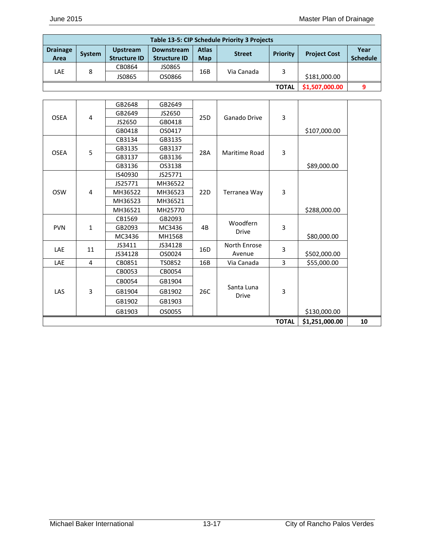| <b>Table 13-5: CIP Schedule Priority 3 Projects</b> |               |                     |                     |              |               |                 |                     |                 |  |  |
|-----------------------------------------------------|---------------|---------------------|---------------------|--------------|---------------|-----------------|---------------------|-----------------|--|--|
| <b>Drainage</b>                                     | <b>System</b> | <b>Upstream</b>     | <b>Downstream</b>   | <b>Atlas</b> | <b>Street</b> | <b>Priority</b> | <b>Project Cost</b> | Year            |  |  |
| Area                                                |               | <b>Structure ID</b> | <b>Structure ID</b> | Map          |               |                 |                     | <b>Schedule</b> |  |  |
|                                                     |               | CB0864              | JS0865              |              |               |                 |                     |                 |  |  |
| LAE                                                 | 8             | JS0865              | OS0866              | 16B          | Via Canada    |                 | \$181,000.00        |                 |  |  |
|                                                     |               |                     |                     |              |               | <b>TOTAL</b>    | \$1,507,000.00      |                 |  |  |

|                  |              | GB2648  | GB2649  |                 |                            |              |                |    |
|------------------|--------------|---------|---------|-----------------|----------------------------|--------------|----------------|----|
| <b>OSEA</b><br>4 |              | GB2649  | JS2650  | 25D             | Ganado Drive               | 3            |                |    |
|                  |              | JS2650  | GB0418  |                 |                            |              |                |    |
|                  |              | GB0418  | OS0417  |                 |                            |              | \$107,000.00   |    |
|                  |              | CB3134  | GB3135  |                 |                            |              |                |    |
| <b>OSEA</b>      | 5            | GB3135  | GB3137  | 28A             | Maritime Road              | 3            |                |    |
|                  |              | GB3137  | GB3136  |                 |                            |              |                |    |
|                  |              | GB3136  | OS3138  |                 |                            |              | \$89,000.00    |    |
|                  |              | IS40930 | JS25771 |                 |                            |              |                |    |
|                  |              | JS25771 | MH36522 |                 |                            |              |                |    |
| <b>OSW</b>       | 4            | MH36522 | MH36523 | 22D             | Terranea Way               | 3            |                |    |
|                  |              | MH36523 | MH36521 |                 |                            |              |                |    |
|                  |              | MH36521 | MH25770 | 4B              |                            |              | \$288,000.00   |    |
|                  |              | CB1569  | GB2093  |                 | Woodfern                   |              |                |    |
| <b>PVN</b>       | $\mathbf{1}$ | GB2093  | MC3436  |                 | <b>Drive</b>               | 3            |                |    |
|                  |              | MC3436  | MH1568  |                 |                            |              | \$80,000.00    |    |
| LAE              | 11           | JS3411  | JS34128 | 16 <sub>D</sub> | North Enrose               | 3            |                |    |
|                  |              | JS34128 | OS0024  |                 | Avenue                     |              | \$502,000.00   |    |
| LAE              | 4            | CB0851  | TS0852  | 16B             | Via Canada                 | 3            | \$55,000.00    |    |
|                  |              | CB0053  | CB0054  |                 |                            |              |                |    |
|                  |              | CB0054  | GB1904  |                 |                            |              |                |    |
| LAS              | 3            | GB1904  | GB1902  | 26C             | Santa Luna<br><b>Drive</b> | 3            |                |    |
|                  |              | GB1902  | GB1903  |                 |                            |              |                |    |
|                  |              | GB1903  | OS0055  |                 |                            |              | \$130,000.00   |    |
|                  |              |         |         |                 |                            | <b>TOTAL</b> | \$1,251,000.00 | 10 |